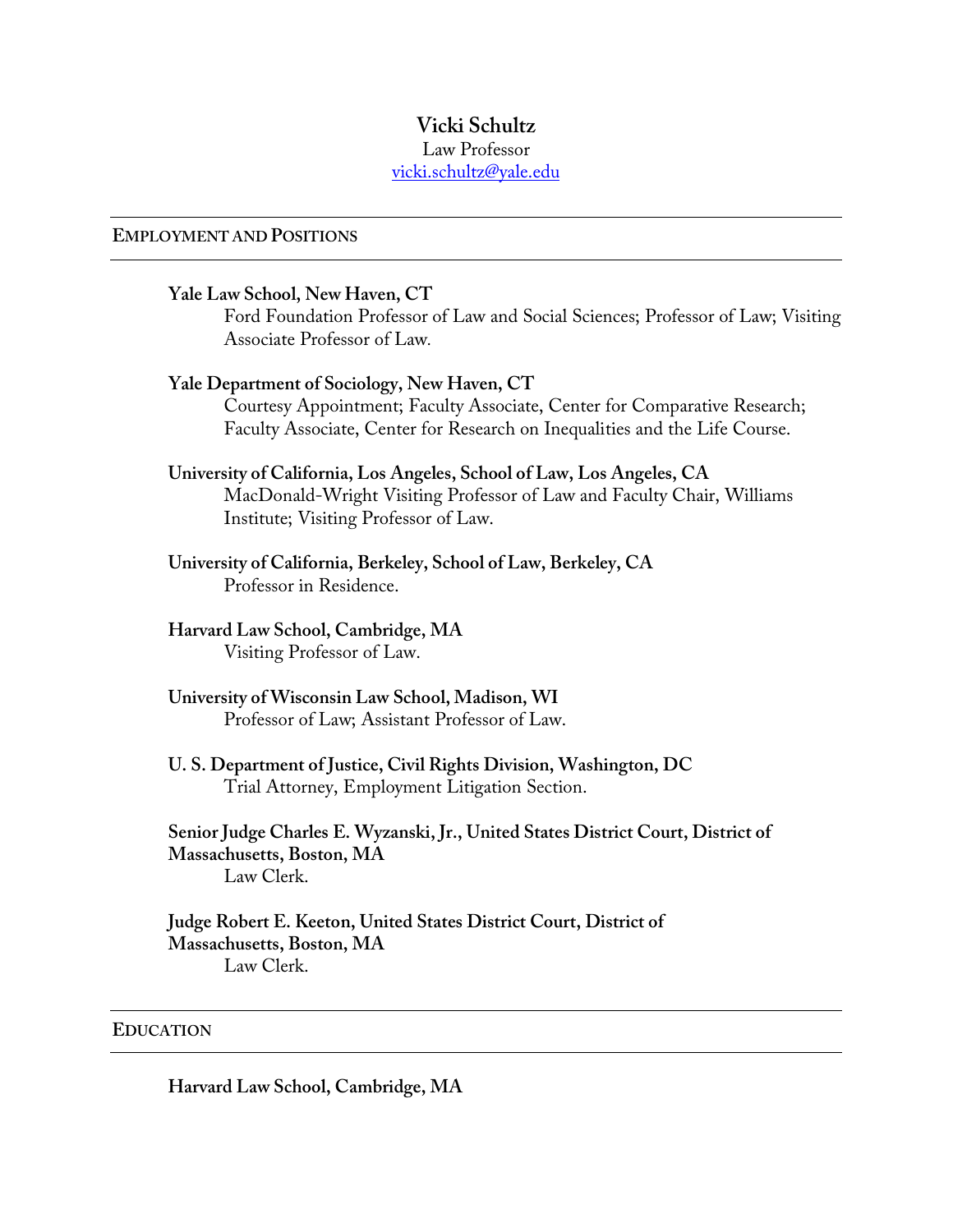# **Vicki Schultz**

#### Law Professor

vicki.schultz@yale.edu

#### **EMPLOYMENT AND POSITIONS**

#### **Yale Law School, New Haven, CT**

Ford Foundation Professor of Law and Social Sciences; Professor of Law; Visiting Associate Professor of Law*.*

# **Yale Department of Sociology, New Haven, CT**

Courtesy Appointment; Faculty Associate, Center for Comparative Research; Faculty Associate, Center for Research on Inequalities and the Life Course.

# **University of California, Los Angeles, School of Law, Los Angeles, CA**

MacDonald-Wright Visiting Professor of Law and Faculty Chair, Williams Institute; Visiting Professor of Law.

**University of California, Berkeley, School of Law, Berkeley, CA**  Professor in Residence.

**Harvard Law School, Cambridge, MA** Visiting Professor of Law.

#### **University of Wisconsin Law School, Madison, WI**  Professor of Law; Assistant Professor of Law.

### **U. S. Department of Justice, Civil Rights Division, Washington, DC** Trial Attorney, Employment Litigation Section.

**Senior Judge Charles E. Wyzanski, Jr., United States District Court, District of Massachusetts, Boston, MA** Law Clerk.

**Judge Robert E. Keeton, United States District Court, District of Massachusetts, Boston, MA** Law Clerk.

#### **EDUCATION**

**Harvard Law School, Cambridge, MA**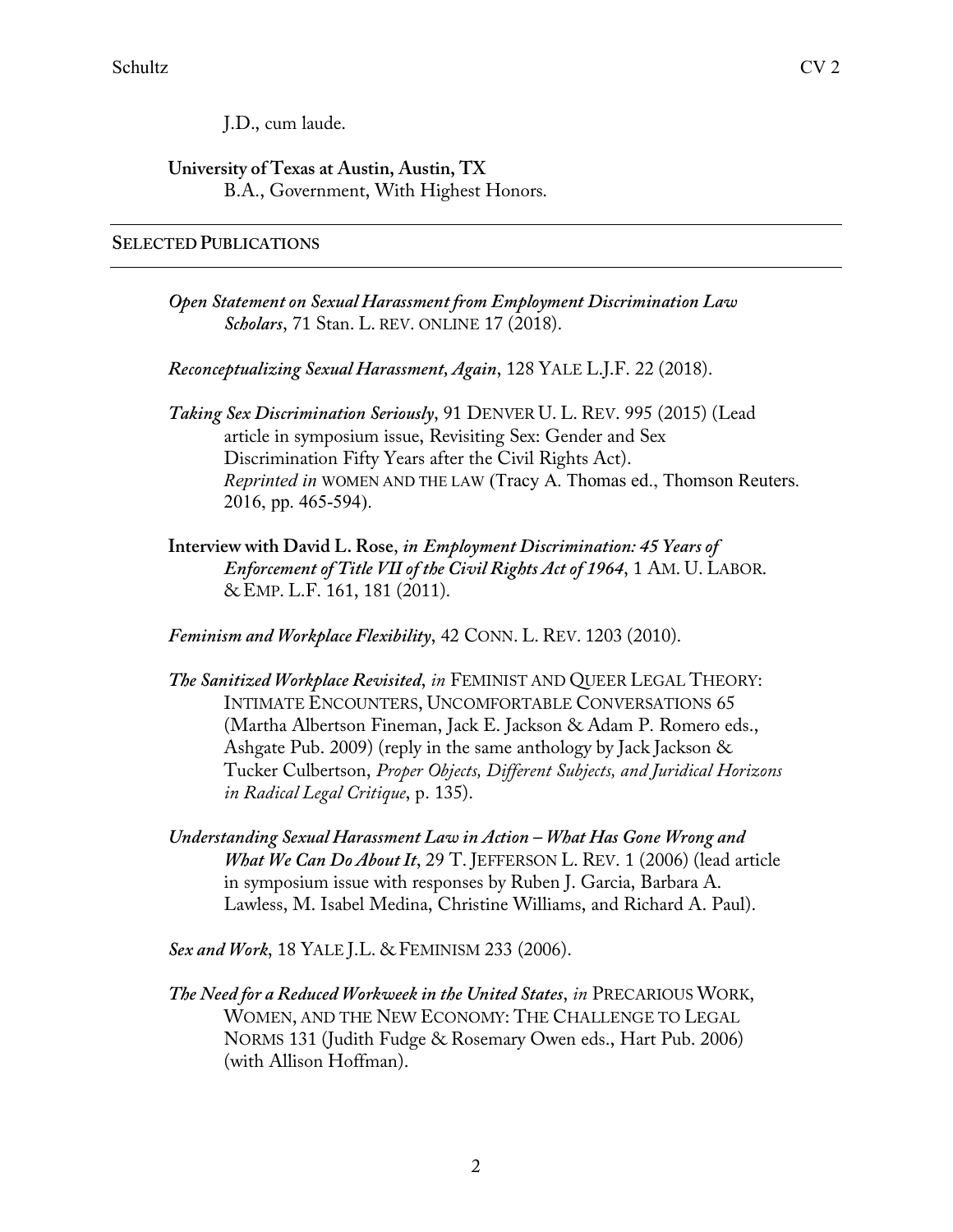J.D., cum laude.

**University of Texas at Austin, Austin, TX** B.A., Government, With Highest Honors.

#### **SELECTED PUBLICATIONS**

- *Open Statement on Sexual Harassment from Employment Discrimination Law Scholars*, 71 Stan. L. REV. ONLINE 17 (2018).
- *Reconceptualizing Sexual Harassment, Again*, 128 YALE L.J.F. 22 (2018).
- *Taking Sex Discrimination Seriously*, 91 DENVER U. L. REV. 995 (2015) (Lead article in symposium issue, Revisiting Sex: Gender and Sex Discrimination Fifty Years after the Civil Rights Act). *Reprinted in* WOMEN AND THE LAW (Tracy A. Thomas ed., Thomson Reuters. 2016, pp. 465-594).
- **Interview with David L. Rose**, *in Employment Discrimination: 45 Years of Enforcement of Title VII of the Civil Rights Act of 1964*, 1 AM. U. LABOR. & EMP. L.F. 161, 181 (2011).

*Feminism and Workplace Flexibility*, 42 CONN. L. REV. 1203 (2010).

- *The Sanitized Workplace Revisited*, *in* FEMINIST AND QUEER LEGAL THEORY: INTIMATE ENCOUNTERS, UNCOMFORTABLE CONVERSATIONS 65 (Martha Albertson Fineman, Jack E. Jackson & Adam P. Romero eds., Ashgate Pub. 2009) (reply in the same anthology by Jack Jackson & Tucker Culbertson, *Proper Objects, Different Subjects, and Juridical Horizons in Radical Legal Critique*, p. 135).
- *Understanding Sexual Harassment Law in Action – What Has Gone Wrong and What We Can Do About It*, 29 T. JEFFERSON L. REV. 1 (2006) (lead article in symposium issue with responses by Ruben J. Garcia, Barbara A. Lawless, M. Isabel Medina, Christine Williams, and Richard A. Paul).

*Sex and Work*, 18 YALE J.L. & FEMINISM 233 (2006).

*The Need for a Reduced Workweek in the United States*, *in* PRECARIOUS WORK, WOMEN, AND THE NEW ECONOMY: THE CHALLENGE TO LEGAL NORMS 131 (Judith Fudge & Rosemary Owen eds., Hart Pub. 2006) (with Allison Hoffman).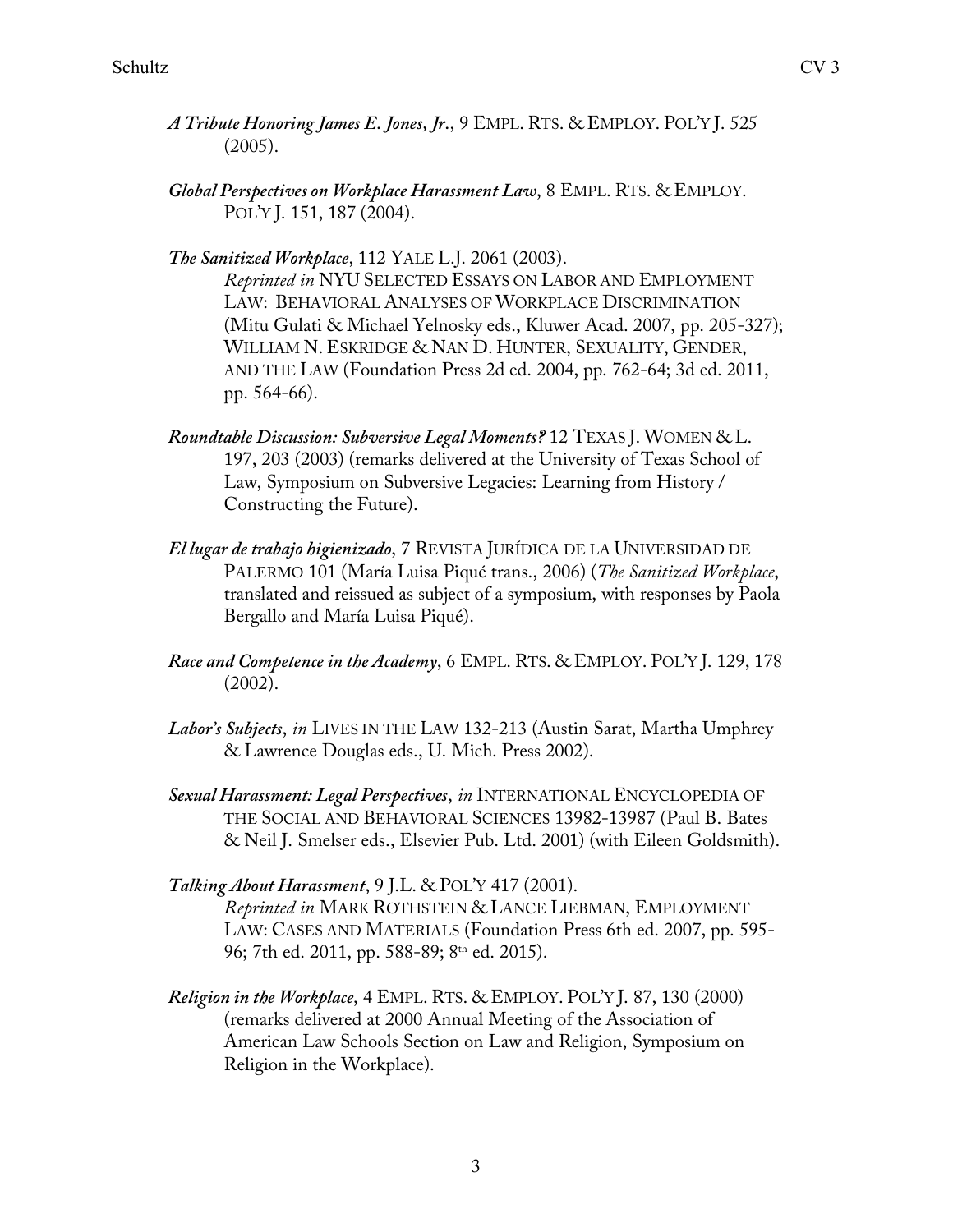- *A Tribute Honoring James E. Jones, Jr.*, 9 EMPL. RTS. & EMPLOY. POL'Y J. 525 (2005).
- *Global Perspectives on Workplace Harassment Law*, 8 EMPL. RTS. & EMPLOY. POL'Y J. 151, 187 (2004).
- *The Sanitized Workplace*, 112 YALE L.J. 2061 (2003).

*Reprinted in* NYU SELECTED ESSAYS ON LABOR AND EMPLOYMENT LAW: BEHAVIORAL ANALYSES OF WORKPLACE DISCRIMINATION (Mitu Gulati & Michael Yelnosky eds., Kluwer Acad. 2007, pp. 205-327); WILLIAM N. ESKRIDGE & NAN D. HUNTER, SEXUALITY, GENDER, AND THE LAW (Foundation Press 2d ed. 2004, pp. 762-64; 3d ed. 2011, pp. 564-66).

- *Roundtable Discussion: Subversive Legal Moments?* 12 TEXAS J. WOMEN & L. 197, 203 (2003) (remarks delivered at the University of Texas School of Law, Symposium on Subversive Legacies: Learning from History / Constructing the Future).
- *El lugar de trabajo higienizado*, 7 REVISTA JURÍDICA DE LA UNIVERSIDAD DE PALERMO 101 (María Luisa Piqué trans., 2006) (*The Sanitized Workplace*, translated and reissued as subject of a symposium, with responses by Paola Bergallo and María Luisa Piqué).
- *Race and Competence in the Academy*, 6 EMPL. RTS. & EMPLOY. POL'Y J. 129, 178 (2002).
- *Labor's Subjects*, *in* LIVES IN THE LAW 132-213 (Austin Sarat, Martha Umphrey & Lawrence Douglas eds., U. Mich. Press 2002).
- *Sexual Harassment: Legal Perspectives*, *in* INTERNATIONAL ENCYCLOPEDIA OF THE SOCIAL AND BEHAVIORAL SCIENCES 13982-13987 (Paul B. Bates & Neil J. Smelser eds., Elsevier Pub. Ltd. 2001) (with Eileen Goldsmith).
- *Talking About Harassment*, 9 J.L. & POL'Y 417 (2001). *Reprinted in* MARK ROTHSTEIN & LANCE LIEBMAN, EMPLOYMENT LAW: CASES AND MATERIALS (Foundation Press 6th ed. 2007, pp. 595- 96; 7th ed. 2011, pp. 588-89; 8<sup>th</sup> ed. 2015).
- *Religion in the Workplace*, 4 EMPL. RTS. & EMPLOY. POL'Y J. 87, 130 (2000) (remarks delivered at 2000 Annual Meeting of the Association of American Law Schools Section on Law and Religion, Symposium on Religion in the Workplace).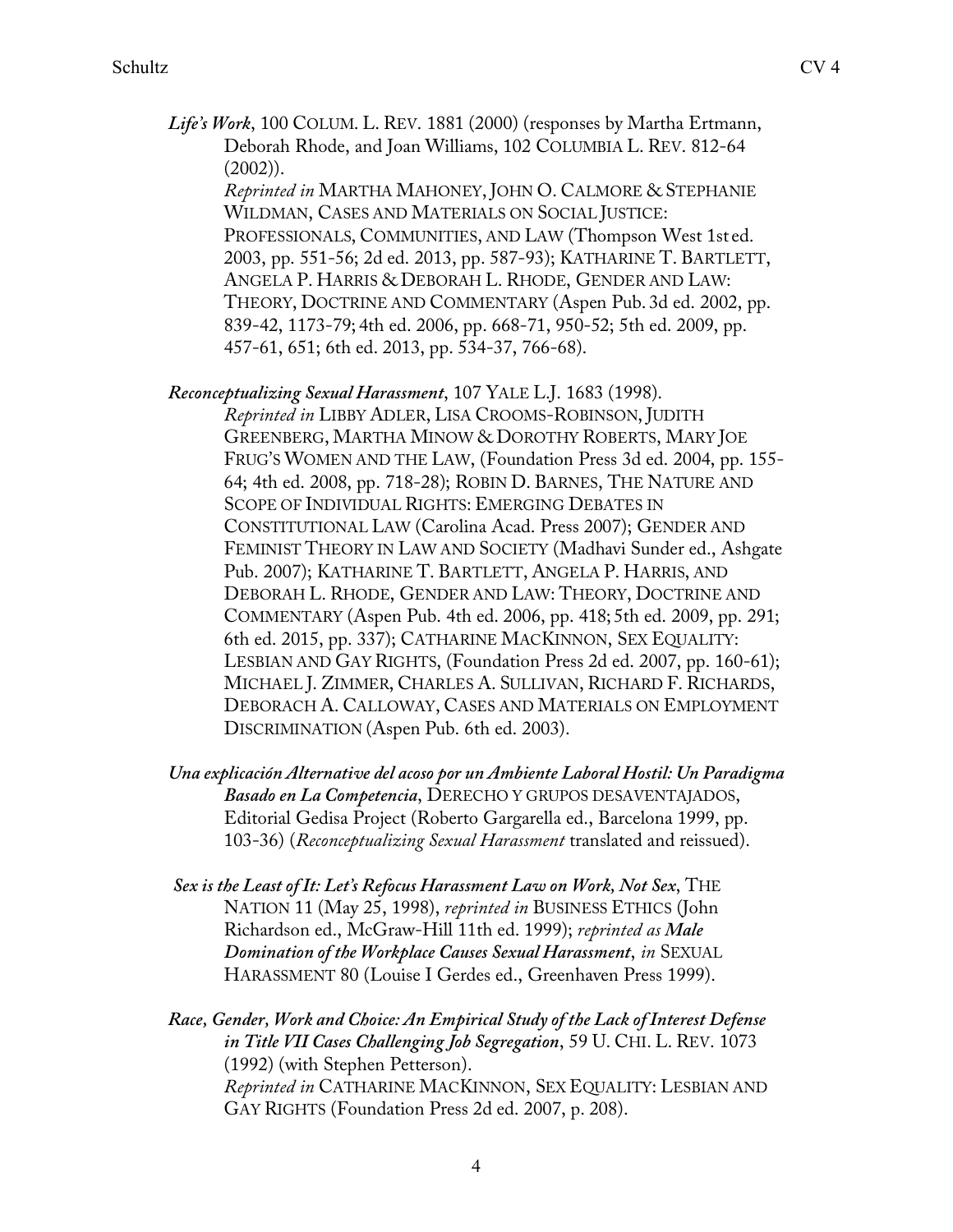*Life's Work*, 100 COLUM. L. REV. 1881 (2000) (responses by Martha Ertmann, Deborah Rhode, and Joan Williams, 102 COLUMBIA L. REV. 812-64 (2002)).

*Reprinted in* MARTHA MAHONEY, JOHN O. CALMORE & STEPHANIE WILDMAN, CASES AND MATERIALS ON SOCIAL JUSTICE: PROFESSIONALS, COMMUNITIES, AND LAW (Thompson West 1st ed. 2003, pp. 551-56; 2d ed. 2013, pp. 587-93); KATHARINE T. BARTLETT, ANGELA P. HARRIS & DEBORAH L. RHODE, GENDER AND LAW: THEORY, DOCTRINE AND COMMENTARY (Aspen Pub. 3d ed. 2002, pp. 839-42, 1173-79; 4th ed. 2006, pp. 668-71, 950-52; 5th ed. 2009, pp. 457-61, 651; 6th ed. 2013, pp. 534-37, 766-68).

*Reconceptualizing Sexual Harassment*, 107 YALE L.J. 1683 (1998).

*Reprinted in* LIBBY ADLER, LISA CROOMS-ROBINSON, JUDITH GREENBERG, MARTHA MINOW & DOROTHY ROBERTS, MARY JOE FRUG'S WOMEN AND THE LAW, (Foundation Press 3d ed. 2004, pp. 155- 64; 4th ed. 2008, pp. 718-28); ROBIN D. BARNES, THE NATURE AND SCOPE OF INDIVIDUAL RIGHTS: EMERGING DEBATES IN CONSTITUTIONAL LAW (Carolina Acad. Press 2007); GENDER AND FEMINIST THEORY IN LAW AND SOCIETY (Madhavi Sunder ed., Ashgate Pub. 2007); KATHARINE T. BARTLETT, ANGELA P. HARRIS, AND DEBORAH L. RHODE, GENDER AND LAW: THEORY, DOCTRINE AND COMMENTARY (Aspen Pub. 4th ed. 2006, pp. 418; 5th ed. 2009, pp. 291; 6th ed. 2015, pp. 337); CATHARINE MACKINNON, SEX EQUALITY: LESBIAN AND GAY RIGHTS, (Foundation Press 2d ed. 2007, pp. 160-61); MICHAEL J. ZIMMER, CHARLES A. SULLIVAN, RICHARD F. RICHARDS, DEBORACH A. CALLOWAY, CASES AND MATERIALS ON EMPLOYMENT DISCRIMINATION (Aspen Pub. 6th ed. 2003).

- *Una explicación Alternative del acoso por un Ambiente Laboral Hostil: Un Paradigma Basado en La Competencia*, DERECHO Y GRUPOS DESAVENTAJADOS, Editorial Gedisa Project (Roberto Gargarella ed., Barcelona 1999, pp. 103-36) (*Reconceptualizing Sexual Harassment* translated and reissued).
- *Sex is the Least of It: Let's Refocus Harassment Law on Work, Not Sex*, THE NATION 11 (May 25, 1998), *reprinted in* BUSINESS ETHICS (John Richardson ed., McGraw-Hill 11th ed. 1999); *reprinted as Male Domination of the Workplace Causes Sexual Harassment*, *in* SEXUAL HARASSMENT 80 (Louise I Gerdes ed., Greenhaven Press 1999).

*Race, Gender, Work and Choice: An Empirical Study of the Lack of Interest Defense in Title VII Cases Challenging Job Segregation*, 59 U. CHI. L. REV. 1073 (1992) (with Stephen Petterson). *Reprinted in* CATHARINE MACKINNON, SEX EQUALITY: LESBIAN AND GAY RIGHTS (Foundation Press 2d ed. 2007, p. 208).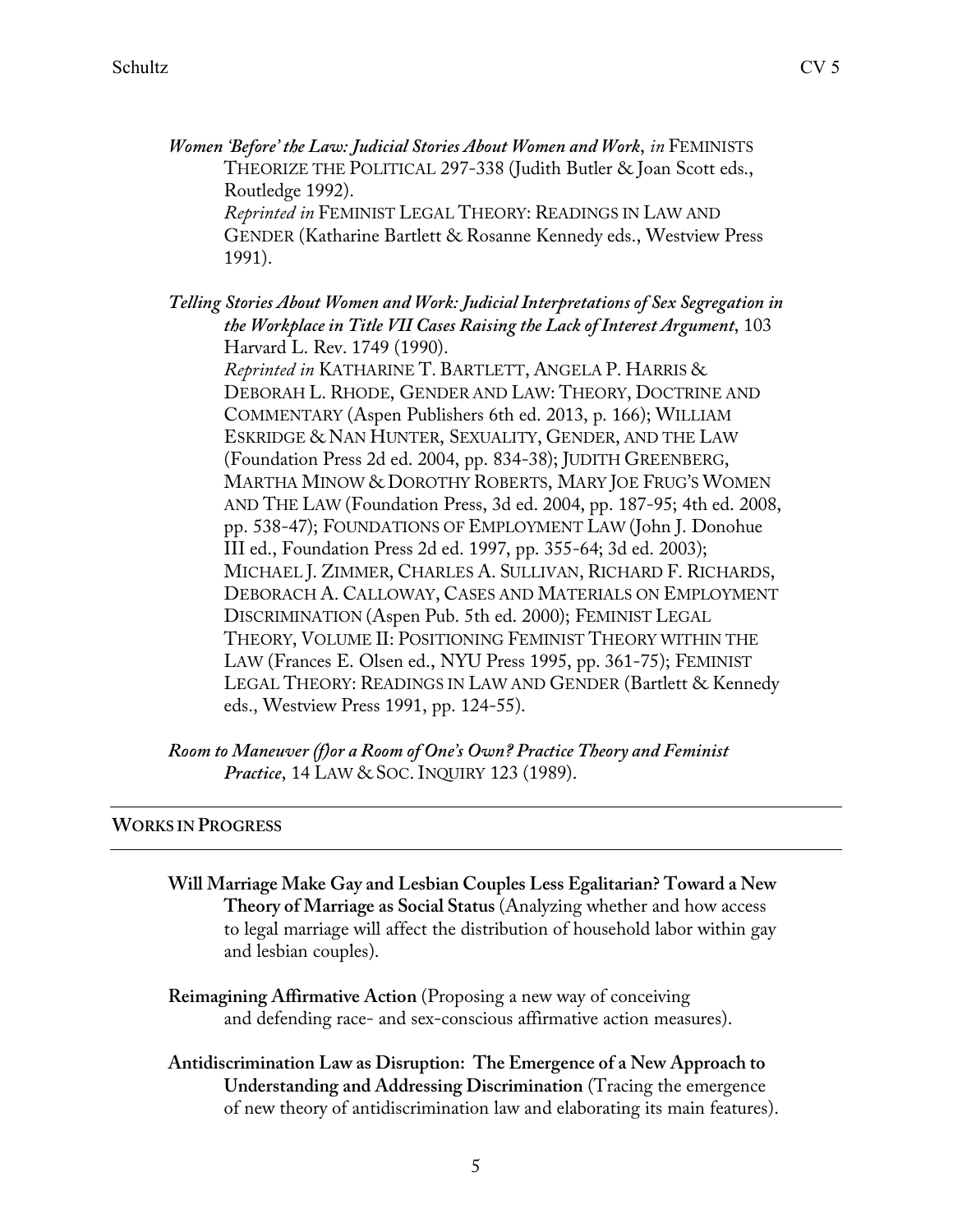*Women 'Before' the Law: Judicial Stories About Women and Work*, *in* FEMINISTS THEORIZE THE POLITICAL 297-338 (Judith Butler & Joan Scott eds., Routledge 1992).

*Reprinted in* FEMINIST LEGAL THEORY: READINGS IN LAW AND GENDER (Katharine Bartlett & Rosanne Kennedy eds., Westview Press 1991).

*Telling Stories About Women and Work: Judicial Interpretations of Sex Segregation in the Workplace in Title VII Cases Raising the Lack of Interest Argument*, 103 Harvard L. Rev. 1749 (1990). *Reprinted in* KATHARINE T. BARTLETT, ANGELA P. HARRIS & DEBORAH L. RHODE, GENDER AND LAW: THEORY, DOCTRINE AND COMMENTARY (Aspen Publishers 6th ed. 2013, p. 166); WILLIAM ESKRIDGE & NAN HUNTER, SEXUALITY, GENDER, AND THE LAW (Foundation Press 2d ed. 2004, pp. 834-38); JUDITH GREENBERG, MARTHA MINOW & DOROTHY ROBERTS, MARY JOE FRUG'S WOMEN AND THE LAW (Foundation Press, 3d ed. 2004, pp. 187-95; 4th ed. 2008, pp. 538-47); FOUNDATIONS OF EMPLOYMENT LAW (John J. Donohue III ed., Foundation Press 2d ed. 1997, pp. 355-64; 3d ed. 2003); MICHAEL J. ZIMMER, CHARLES A. SULLIVAN, RICHARD F. RICHARDS, DEBORACH A. CALLOWAY, CASES AND MATERIALS ON EMPLOYMENT DISCRIMINATION (Aspen Pub. 5th ed. 2000); FEMINIST LEGAL THEORY, VOLUME II: POSITIONING FEMINIST THEORY WITHIN THE LAW (Frances E. Olsen ed., NYU Press 1995, pp. 361-75); FEMINIST LEGAL THEORY: READINGS IN LAW AND GENDER (Bartlett & Kennedy eds., Westview Press 1991, pp. 124-55).

*Room to Maneuver (f)or a Room of One's Own? Practice Theory and Feminist Practice*, 14 LAW & SOC. INQUIRY 123 (1989).

#### **WORKS IN PROGRESS**

- **Will Marriage Make Gay and Lesbian Couples Less Egalitarian? Toward a New Theory of Marriage as Social Status** (Analyzing whether and how access to legal marriage will affect the distribution of household labor within gay and lesbian couples).
- **Reimagining Affirmative Action** (Proposing a new way of conceiving and defending race- and sex-conscious affirmative action measures).
- **Antidiscrimination Law as Disruption: The Emergence of a New Approach to Understanding and Addressing Discrimination** (Tracing the emergence of new theory of antidiscrimination law and elaborating its main features).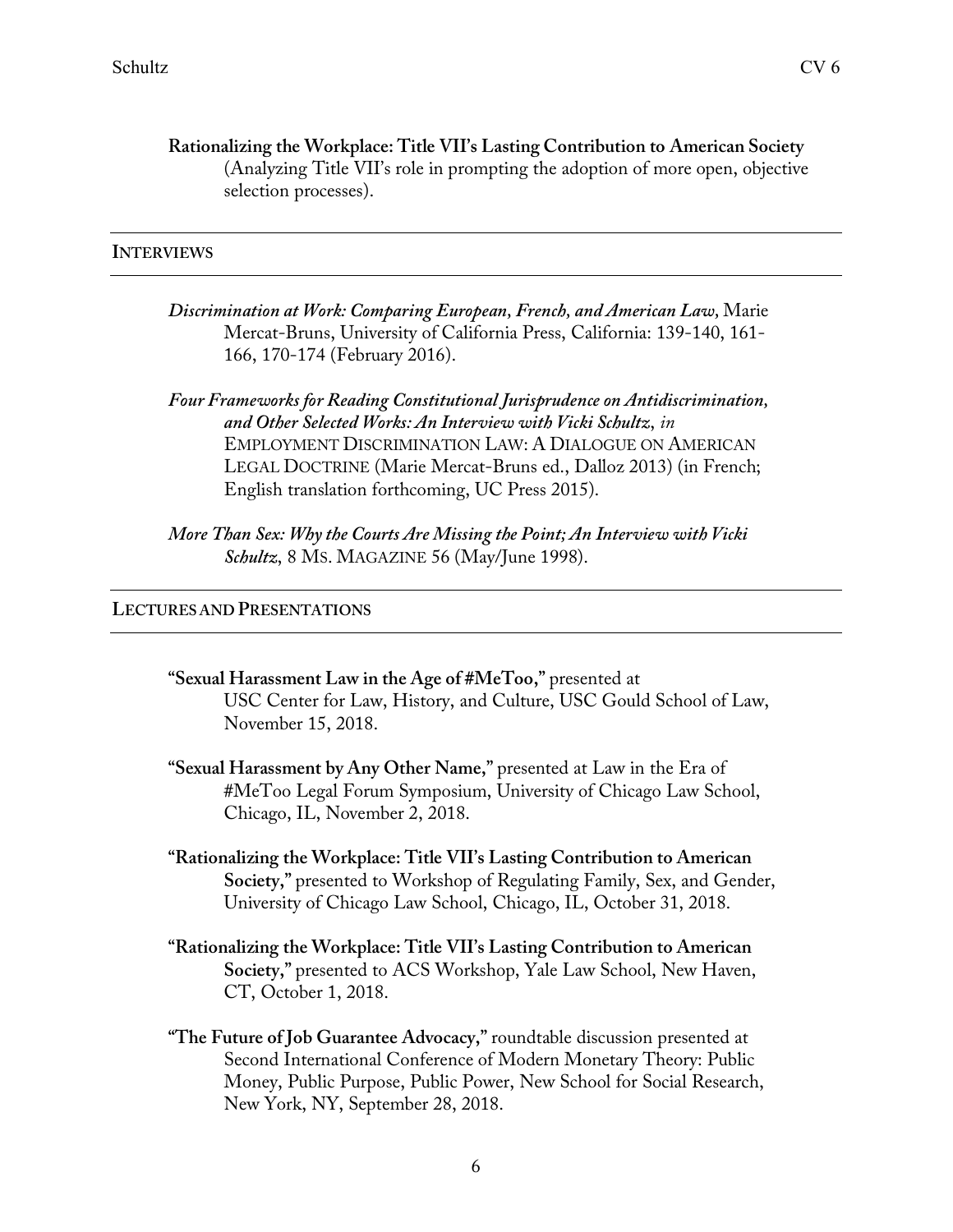**Rationalizing the Workplace: Title VII's Lasting Contribution to American Society** (Analyzing Title VII's role in prompting the adoption of more open, objective selection processes).

#### **INTERVIEWS**

*Discrimination at Work: Comparing European, French, and American Law,* Marie Mercat-Bruns, University of California Press, California: 139-140, 161- 166, 170-174 (February 2016).

*Four Frameworks for Reading Constitutional Jurisprudence on Antidiscrimination, and Other Selected Works: An Interview with Vicki Schultz*, *in* EMPLOYMENT DISCRIMINATION LAW: A DIALOGUE ON AMERICAN LEGAL DOCTRINE (Marie Mercat-Bruns ed., Dalloz 2013) (in French; English translation forthcoming, UC Press 2015).

*More Than Sex: Why the Courts Are Missing the Point; An Interview with Vicki Schultz*, 8 MS. MAGAZINE 56 (May/June 1998).

#### **LECTURES AND PRESENTATIONS**

- **"Sexual Harassment Law in the Age of #MeToo,"** presented at USC Center for Law, History, and Culture, USC Gould School of Law, November 15, 2018.
- **"Sexual Harassment by Any Other Name,"** presented at Law in the Era of #MeToo Legal Forum Symposium, University of Chicago Law School, Chicago, IL, November 2, 2018.
- **"Rationalizing the Workplace: Title VII's Lasting Contribution to American Society,"** presented to Workshop of Regulating Family, Sex, and Gender, University of Chicago Law School, Chicago, IL, October 31, 2018.
- **"Rationalizing the Workplace: Title VII's Lasting Contribution to American Society,"** presented to ACS Workshop, Yale Law School, New Haven, CT, October 1, 2018.
- **"The Future of Job Guarantee Advocacy,"** roundtable discussion presented at Second International Conference of Modern Monetary Theory: Public Money, Public Purpose, Public Power, New School for Social Research, New York, NY, September 28, 2018.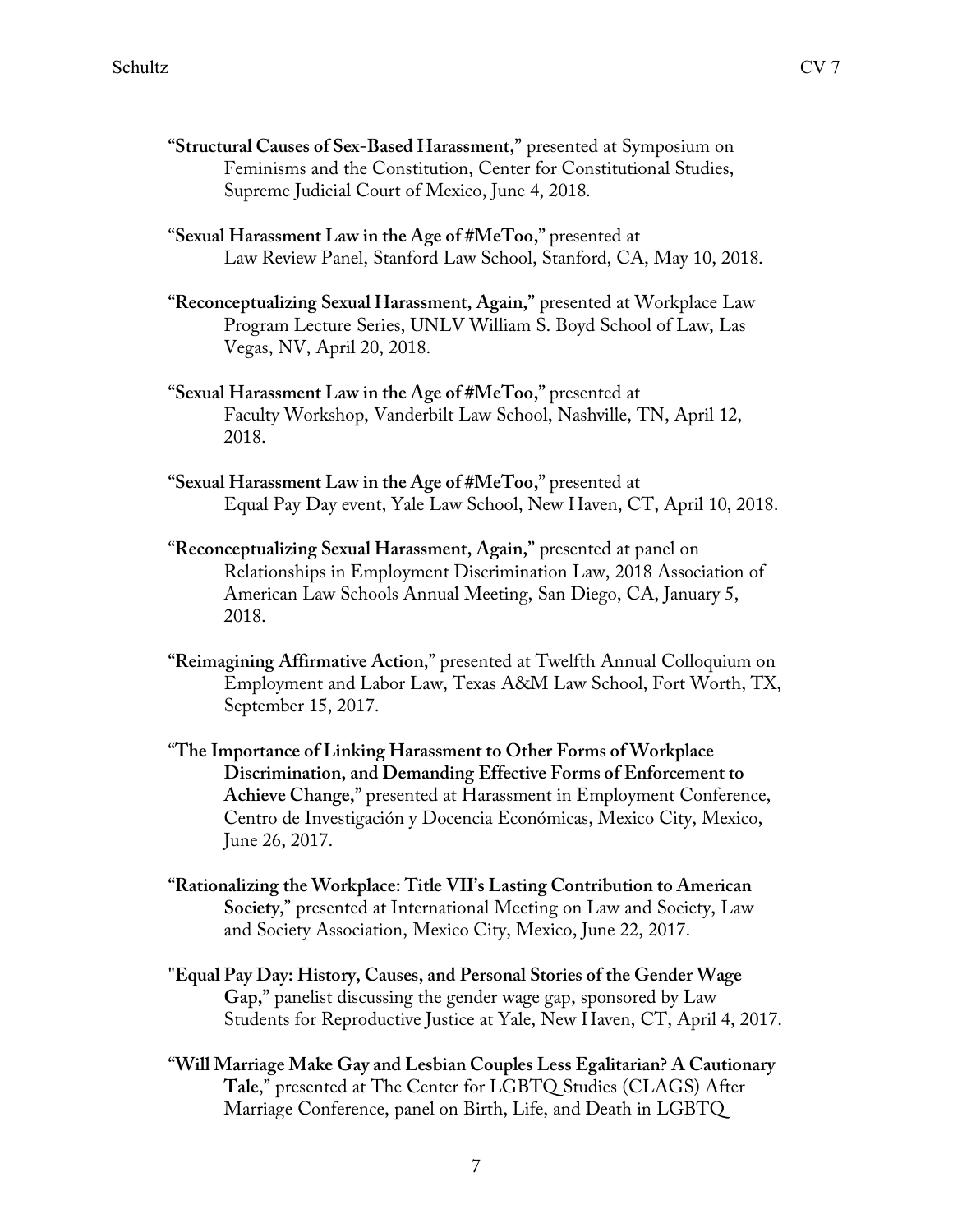- **"Structural Causes of Sex-Based Harassment,"** presented at Symposium on Feminisms and the Constitution, Center for Constitutional Studies, Supreme Judicial Court of Mexico, June 4, 2018.
- **"Sexual Harassment Law in the Age of #MeToo,"** presented at Law Review Panel, Stanford Law School, Stanford, CA, May 10, 2018.
- **"Reconceptualizing Sexual Harassment, Again,"** presented at Workplace Law Program Lecture Series, UNLV William S. Boyd School of Law, Las Vegas, NV, April 20, 2018.
- **"Sexual Harassment Law in the Age of #MeToo,"** presented at Faculty Workshop, Vanderbilt Law School, Nashville, TN, April 12, 2018.
- **"Sexual Harassment Law in the Age of #MeToo,"** presented at Equal Pay Day event, Yale Law School, New Haven, CT, April 10, 2018.
- **"Reconceptualizing Sexual Harassment, Again,"** presented at panel on Relationships in Employment Discrimination Law, 2018 Association of American Law Schools Annual Meeting, San Diego, CA, January 5, 2018.
- **"Reimagining Affirmative Action**," presented at Twelfth Annual Colloquium on Employment and Labor Law, Texas A&M Law School, Fort Worth, TX, September 15, 2017.
- **"The Importance of Linking Harassment to Other Forms of Workplace Discrimination, and Demanding Effective Forms of Enforcement to Achieve Change,"** presented at Harassment in Employment Conference, Centro de Investigación y Docencia Económicas, Mexico City, Mexico, June 26, 2017.
- **"Rationalizing the Workplace: Title VII's Lasting Contribution to American Society**," presented at International Meeting on Law and Society, Law and Society Association, Mexico City, Mexico, June 22, 2017.
- **"Equal Pay Day: History, Causes, and Personal Stories of the Gender Wage Gap,"** panelist discussing the gender wage gap, sponsored by Law Students for Reproductive Justice at Yale, New Haven, CT, April 4, 2017.
- **"Will Marriage Make Gay and Lesbian Couples Less Egalitarian? A Cautionary Tale**," presented at The Center for LGBTQ Studies (CLAGS) After Marriage Conference, panel on Birth, Life, and Death in LGBTQ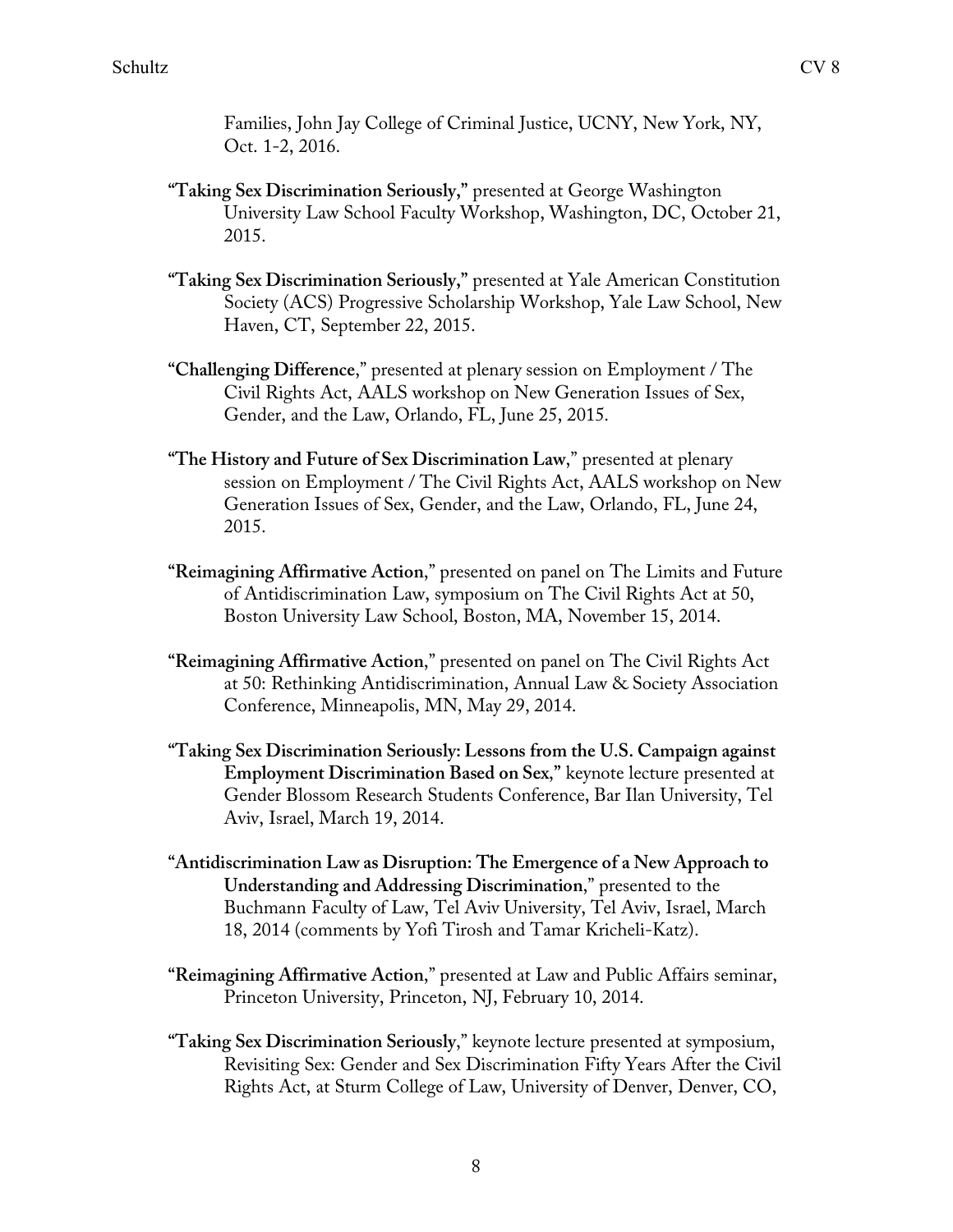Families, John Jay College of Criminal Justice, UCNY, New York, NY, Oct. 1-2, 2016.

- **"Taking Sex Discrimination Seriously,"** presented at George Washington University Law School Faculty Workshop, Washington, DC, October 21, 2015.
- **"Taking Sex Discrimination Seriously,"** presented at Yale American Constitution Society (ACS) Progressive Scholarship Workshop, Yale Law School, New Haven, CT, September 22, 2015.
- **"Challenging Difference**," presented at plenary session on Employment / The Civil Rights Act, AALS workshop on New Generation Issues of Sex, Gender, and the Law, Orlando, FL, June 25, 2015.
- **"The History and Future of Sex Discrimination Law**," presented at plenary session on Employment / The Civil Rights Act, AALS workshop on New Generation Issues of Sex, Gender, and the Law, Orlando, FL, June 24, 2015.
- **"Reimagining Affirmative Action**," presented on panel on The Limits and Future of Antidiscrimination Law, symposium on The Civil Rights Act at 50, Boston University Law School, Boston, MA, November 15, 2014.
- **"Reimagining Affirmative Action**," presented on panel on The Civil Rights Act at 50: Rethinking Antidiscrimination, Annual Law & Society Association Conference, Minneapolis, MN, May 29, 2014.
- **"Taking Sex Discrimination Seriously: Lessons from the U.S. Campaign against Employment Discrimination Based on Sex**,**"** keynote lecture presented at Gender Blossom Research Students Conference, Bar Ilan University, Tel Aviv, Israel, March 19, 2014.
- **"Antidiscrimination Law as Disruption: The Emergence of a New Approach to Understanding and Addressing Discrimination**," presented to the Buchmann Faculty of Law, Tel Aviv University, Tel Aviv, Israel, March 18, 2014 (comments by Yofi Tirosh and Tamar Kricheli-Katz).
- **"Reimagining Affirmative Action**," presented at Law and Public Affairs seminar, Princeton University, Princeton, NJ, February 10, 2014.
- **"Taking Sex Discrimination Seriously**," keynote lecture presented at symposium, Revisiting Sex: Gender and Sex Discrimination Fifty Years After the Civil Rights Act, at Sturm College of Law, University of Denver, Denver, CO,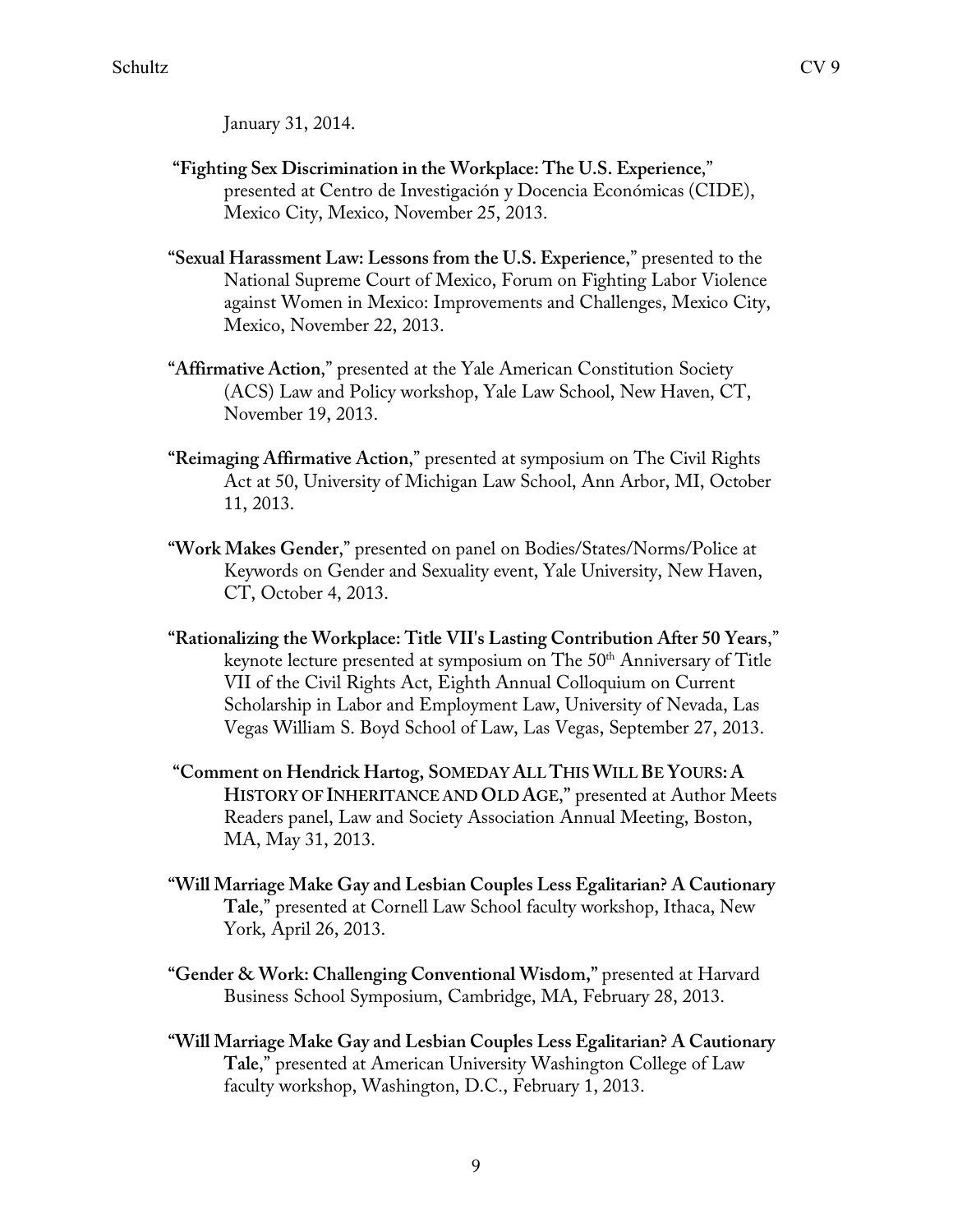January 31, 2014.

- **"Fighting Sex Discrimination in the Workplace: The U.S. Experience**," presented at Centro de Investigación y Docencia Económicas (CIDE), Mexico City, Mexico, November 25, 2013.
- **"Sexual Harassment Law: Lessons from the U.S. Experience**," presented to the National Supreme Court of Mexico, Forum on Fighting Labor Violence against Women in Mexico: Improvements and Challenges, Mexico City, Mexico, November 22, 2013.
- **"Affirmative Action**," presented at the Yale American Constitution Society (ACS) Law and Policy workshop, Yale Law School, New Haven, CT, November 19, 2013.
- **"Reimaging Affirmative Action**," presented at symposium on The Civil Rights Act at 50, University of Michigan Law School, Ann Arbor, MI, October 11, 2013.
- **"Work Makes Gender**," presented on panel on Bodies/States/Norms/Police at Keywords on Gender and Sexuality event, Yale University, New Haven, CT, October 4, 2013.
- **"Rationalizing the Workplace: Title VII's Lasting Contribution After 50 Years**," keynote lecture presented at symposium on The  $50<sup>th</sup>$  Anniversary of Title VII of the Civil Rights Act, Eighth Annual Colloquium on Current Scholarship in Labor and Employment Law, University of Nevada, Las Vegas William S. Boyd School of Law, Las Vegas, September 27, 2013.
- **"Comment on Hendrick Hartog, SOMEDAY ALL THIS WILL BE YOURS: A HISTORY OF INHERITANCE AND OLD AGE**,**"** presented at Author Meets Readers panel, Law and Society Association Annual Meeting, Boston, MA, May 31, 2013.
- **"Will Marriage Make Gay and Lesbian Couples Less Egalitarian? A Cautionary Tale**," presented at Cornell Law School faculty workshop, Ithaca, New York, April 26, 2013.
- **"Gender & Work: Challenging Conventional Wisdom,"** presented at Harvard Business School Symposium, Cambridge, MA, February 28, 2013.
- **"Will Marriage Make Gay and Lesbian Couples Less Egalitarian? A Cautionary Tale**," presented at American University Washington College of Law faculty workshop, Washington, D.C., February 1, 2013.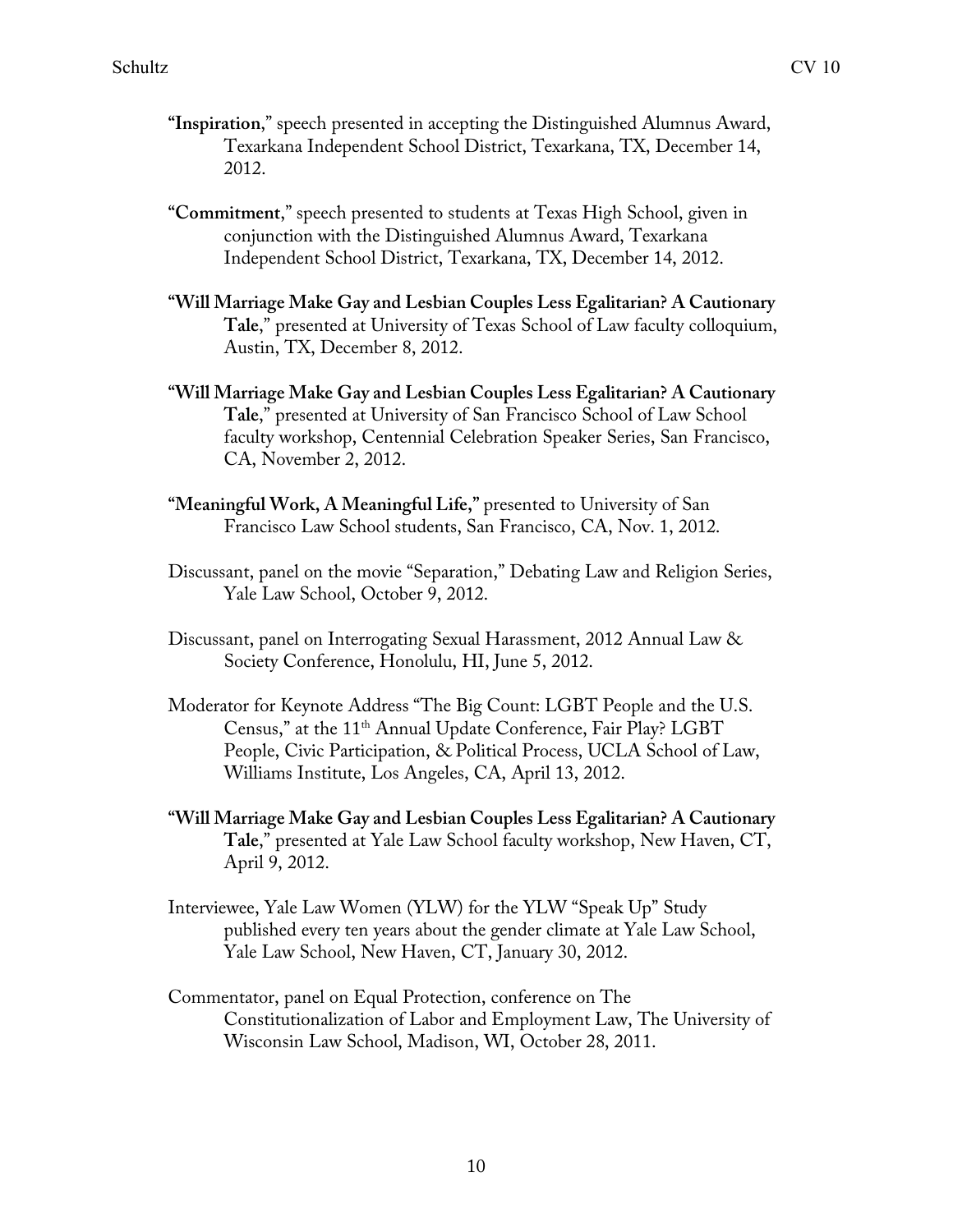- **"Inspiration**," speech presented in accepting the Distinguished Alumnus Award, Texarkana Independent School District, Texarkana, TX, December 14, 2012.
- **"Commitment**," speech presented to students at Texas High School, given in conjunction with the Distinguished Alumnus Award, Texarkana Independent School District, Texarkana, TX, December 14, 2012.
- **"Will Marriage Make Gay and Lesbian Couples Less Egalitarian? A Cautionary Tale**," presented at University of Texas School of Law faculty colloquium, Austin, TX, December 8, 2012.
- **"Will Marriage Make Gay and Lesbian Couples Less Egalitarian? A Cautionary Tale**," presented at University of San Francisco School of Law School faculty workshop, Centennial Celebration Speaker Series, San Francisco, CA, November 2, 2012.
- **"Meaningful Work, A Meaningful Life,"** presented to University of San Francisco Law School students, San Francisco, CA, Nov. 1, 2012.
- Discussant, panel on the movie "Separation," Debating Law and Religion Series, Yale Law School, October 9, 2012.
- Discussant, panel on Interrogating Sexual Harassment, 2012 Annual Law & Society Conference, Honolulu, HI, June 5, 2012.
- Moderator for Keynote Address "The Big Count: LGBT People and the U.S. Census," at the 11<sup>th</sup> Annual Update Conference, Fair Play? LGBT People, Civic Participation, & Political Process, UCLA School of Law, Williams Institute, Los Angeles, CA, April 13, 2012.
- **"Will Marriage Make Gay and Lesbian Couples Less Egalitarian? A Cautionary Tale**," presented at Yale Law School faculty workshop, New Haven, CT, April 9, 2012.
- Interviewee, Yale Law Women (YLW) for the YLW "Speak Up" Study published every ten years about the gender climate at Yale Law School, Yale Law School, New Haven, CT, January 30, 2012.
- Commentator, panel on Equal Protection, conference on The Constitutionalization of Labor and Employment Law, The University of Wisconsin Law School, Madison, WI, October 28, 2011.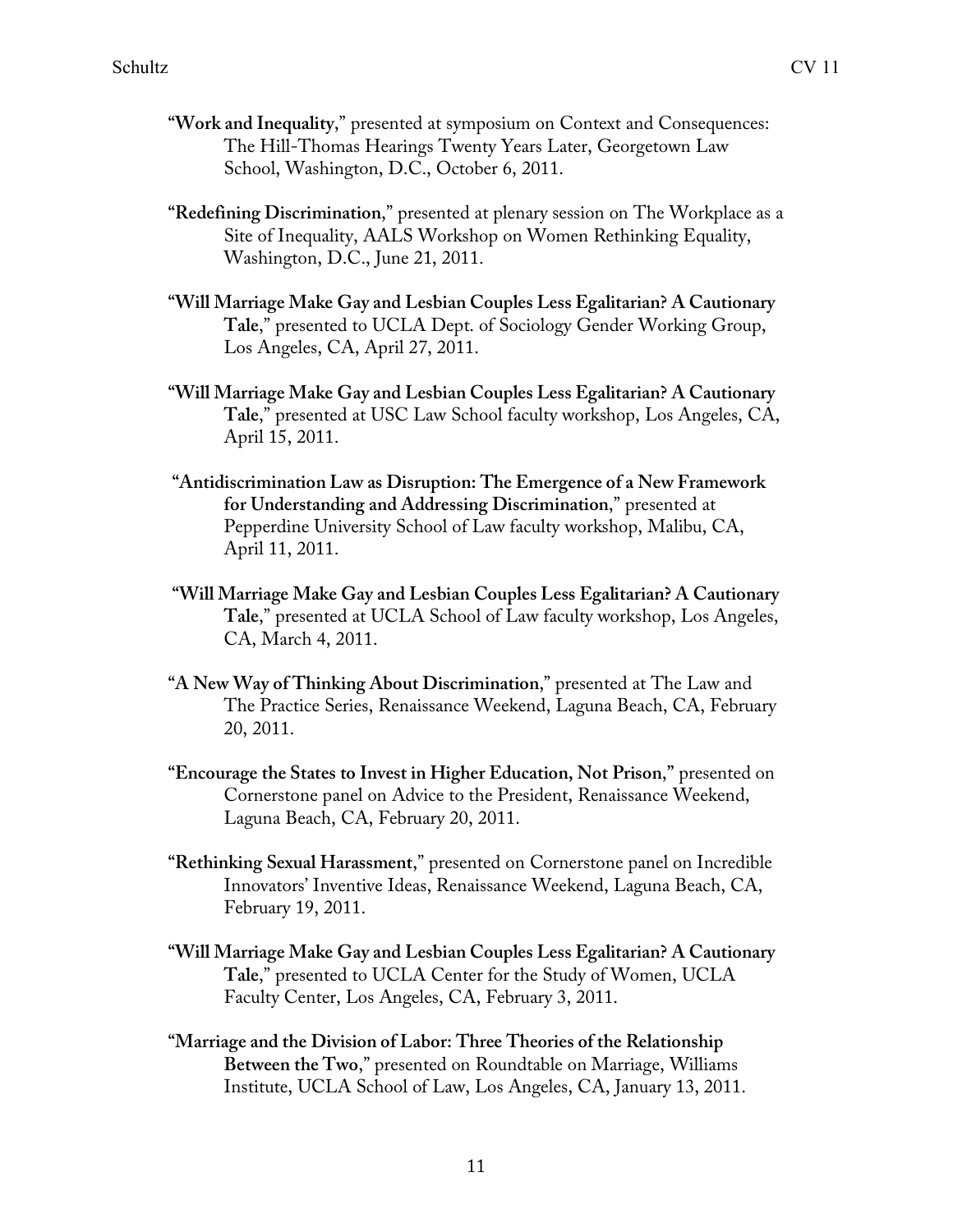- **"Work and Inequality**," presented at symposium on Context and Consequences: The Hill-Thomas Hearings Twenty Years Later, Georgetown Law School, Washington, D.C., October 6, 2011.
- **"Redefining Discrimination**," presented at plenary session on The Workplace as a Site of Inequality, AALS Workshop on Women Rethinking Equality, Washington, D.C., June 21, 2011.
- **"Will Marriage Make Gay and Lesbian Couples Less Egalitarian? A Cautionary Tale**," presented to UCLA Dept. of Sociology Gender Working Group, Los Angeles, CA, April 27, 2011.
- **"Will Marriage Make Gay and Lesbian Couples Less Egalitarian? A Cautionary Tale**," presented at USC Law School faculty workshop, Los Angeles, CA, April 15, 2011.
- **"Antidiscrimination Law as Disruption: The Emergence of a New Framework for Understanding and Addressing Discrimination**," presented at Pepperdine University School of Law faculty workshop, Malibu, CA, April 11, 2011.
- **"Will Marriage Make Gay and Lesbian Couples Less Egalitarian? A Cautionary Tale**," presented at UCLA School of Law faculty workshop, Los Angeles, CA, March 4, 2011.
- **"A New Way of Thinking About Discrimination**," presented at The Law and The Practice Series, Renaissance Weekend, Laguna Beach, CA, February 20, 2011.
- **"Encourage the States to Invest in Higher Education, Not Prison**,**"** presented on Cornerstone panel on Advice to the President, Renaissance Weekend, Laguna Beach, CA, February 20, 2011.
- **"Rethinking Sexual Harassment**," presented on Cornerstone panel on Incredible Innovators' Inventive Ideas, Renaissance Weekend, Laguna Beach, CA, February 19, 2011.
- **"Will Marriage Make Gay and Lesbian Couples Less Egalitarian? A Cautionary Tale**," presented to UCLA Center for the Study of Women, UCLA Faculty Center, Los Angeles, CA, February 3, 2011.
- **"Marriage and the Division of Labor: Three Theories of the Relationship Between the Two**," presented on Roundtable on Marriage, Williams Institute, UCLA School of Law, Los Angeles, CA, January 13, 2011.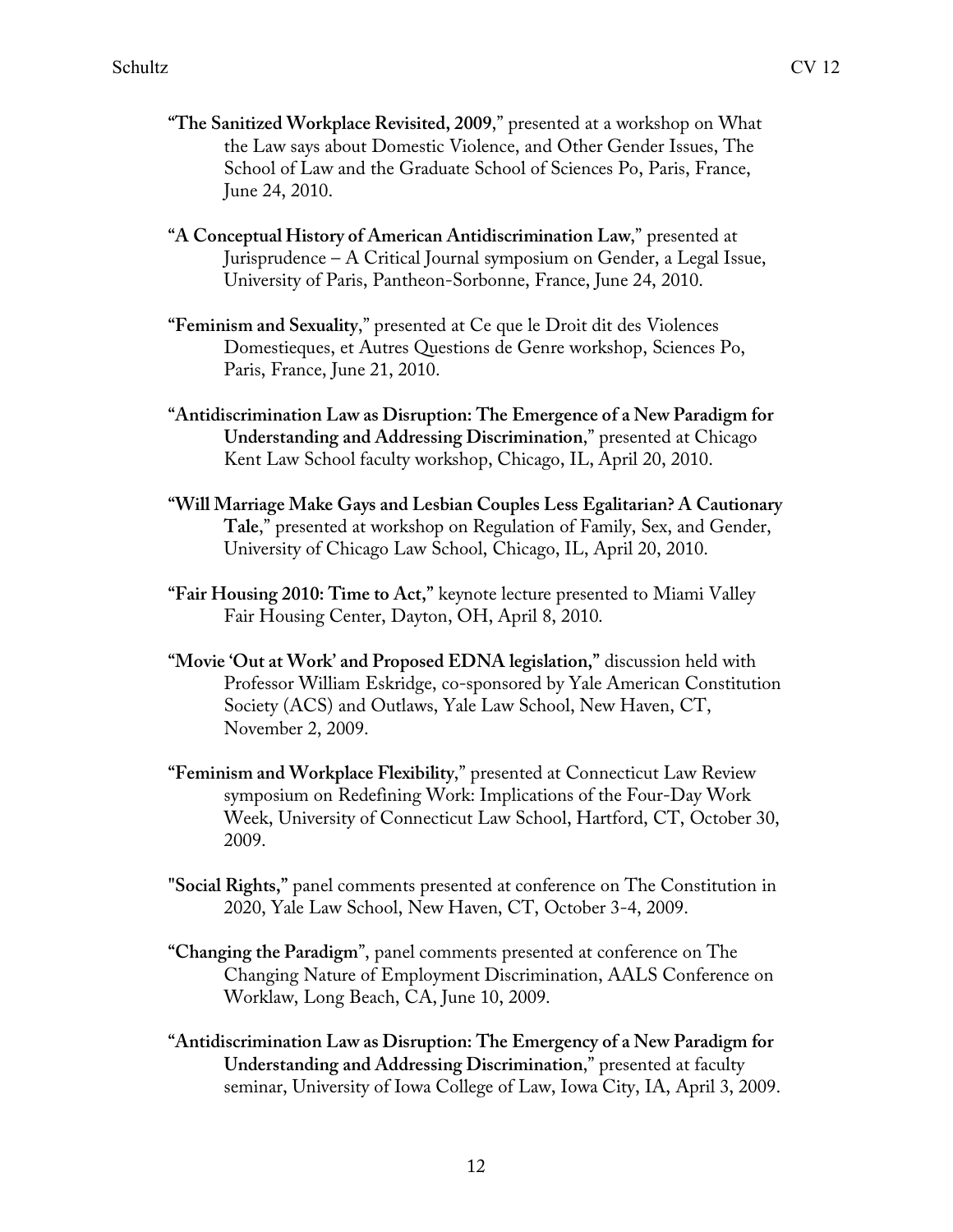- **"The Sanitized Workplace Revisited, 2009**," presented at a workshop on What the Law says about Domestic Violence, and Other Gender Issues, The School of Law and the Graduate School of Sciences Po, Paris, France, June 24, 2010.
- **"A Conceptual History of American Antidiscrimination Law**," presented at Jurisprudence – A Critical Journal symposium on Gender, a Legal Issue, University of Paris, Pantheon-Sorbonne, France, June 24, 2010.
- **"Feminism and Sexuality**," presented at Ce que le Droit dit des Violences Domestieques, et Autres Questions de Genre workshop, Sciences Po, Paris, France, June 21, 2010.
- **"Antidiscrimination Law as Disruption: The Emergence of a New Paradigm for Understanding and Addressing Discrimination**," presented at Chicago Kent Law School faculty workshop, Chicago, IL, April 20, 2010.
- **"Will Marriage Make Gays and Lesbian Couples Less Egalitarian? A Cautionary Tale**," presented at workshop on Regulation of Family, Sex, and Gender, University of Chicago Law School, Chicago, IL, April 20, 2010.
- **"Fair Housing 2010: Time to Act,"** keynote lecture presented to Miami Valley Fair Housing Center, Dayton, OH, April 8, 2010.
- **"Movie 'Out at Work' and Proposed EDNA legislation,"** discussion held with Professor William Eskridge, co-sponsored by Yale American Constitution Society (ACS) and Outlaws, Yale Law School, New Haven, CT, November 2, 2009.
- **"Feminism and Workplace Flexibility**," presented at Connecticut Law Review symposium on Redefining Work: Implications of the Four-Day Work Week, University of Connecticut Law School, Hartford, CT, October 30, 2009.
- **"Social Rights,"** panel comments presented at conference on The Constitution in 2020, Yale Law School, New Haven, CT, October 3-4, 2009.
- **"Changing the Paradigm**", panel comments presented at conference on The Changing Nature of Employment Discrimination, AALS Conference on Worklaw, Long Beach, CA, June 10, 2009.
- **"Antidiscrimination Law as Disruption: The Emergency of a New Paradigm for Understanding and Addressing Discrimination**," presented at faculty seminar, University of Iowa College of Law, Iowa City, IA, April 3, 2009.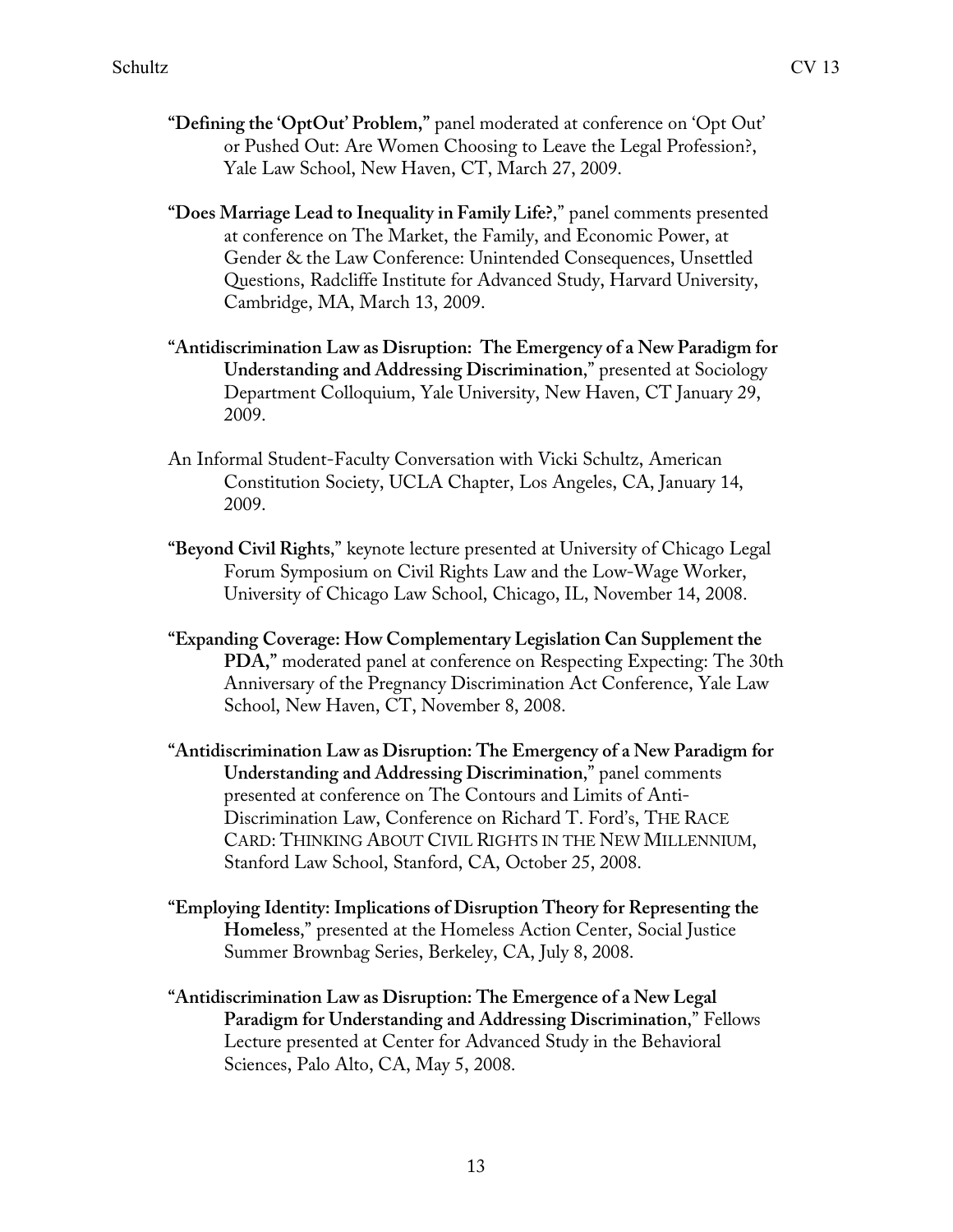- **"Defining the 'OptOut' Problem,"** panel moderated at conference on 'Opt Out' or Pushed Out: Are Women Choosing to Leave the Legal Profession?, Yale Law School, New Haven, CT, March 27, 2009.
- **"Does Marriage Lead to Inequality in Family Life?**," panel comments presented at conference on The Market, the Family, and Economic Power, at Gender & the Law Conference: Unintended Consequences, Unsettled Questions, Radcliffe Institute for Advanced Study, Harvard University, Cambridge, MA, March 13, 2009.
- **"Antidiscrimination Law as Disruption: The Emergency of a New Paradigm for Understanding and Addressing Discrimination**," presented at Sociology Department Colloquium, Yale University, New Haven, CT January 29, 2009.
- An Informal Student-Faculty Conversation with Vicki Schultz, American Constitution Society, UCLA Chapter, Los Angeles, CA, January 14, 2009.
- **"Beyond Civil Rights**," keynote lecture presented at University of Chicago Legal Forum Symposium on Civil Rights Law and the Low-Wage Worker, University of Chicago Law School, Chicago, IL, November 14, 2008.
- **"Expanding Coverage: How Complementary Legislation Can Supplement the PDA,"** moderated panel at conference on Respecting Expecting: The 30th Anniversary of the Pregnancy Discrimination Act Conference, Yale Law School, New Haven, CT, November 8, 2008.
- **"Antidiscrimination Law as Disruption: The Emergency of a New Paradigm for Understanding and Addressing Discrimination**," panel comments presented at conference on The Contours and Limits of Anti-Discrimination Law, Conference on Richard T. Ford's, THE RACE CARD: THINKING ABOUT CIVIL RIGHTS IN THE NEW MILLENNIUM, Stanford Law School, Stanford, CA, October 25, 2008.
- **"Employing Identity: Implications of Disruption Theory for Representing the Homeless**," presented at the Homeless Action Center, Social Justice Summer Brownbag Series, Berkeley, CA, July 8, 2008.
- **"Antidiscrimination Law as Disruption: The Emergence of a New Legal Paradigm for Understanding and Addressing Discrimination**," Fellows Lecture presented at Center for Advanced Study in the Behavioral Sciences, Palo Alto, CA, May 5, 2008.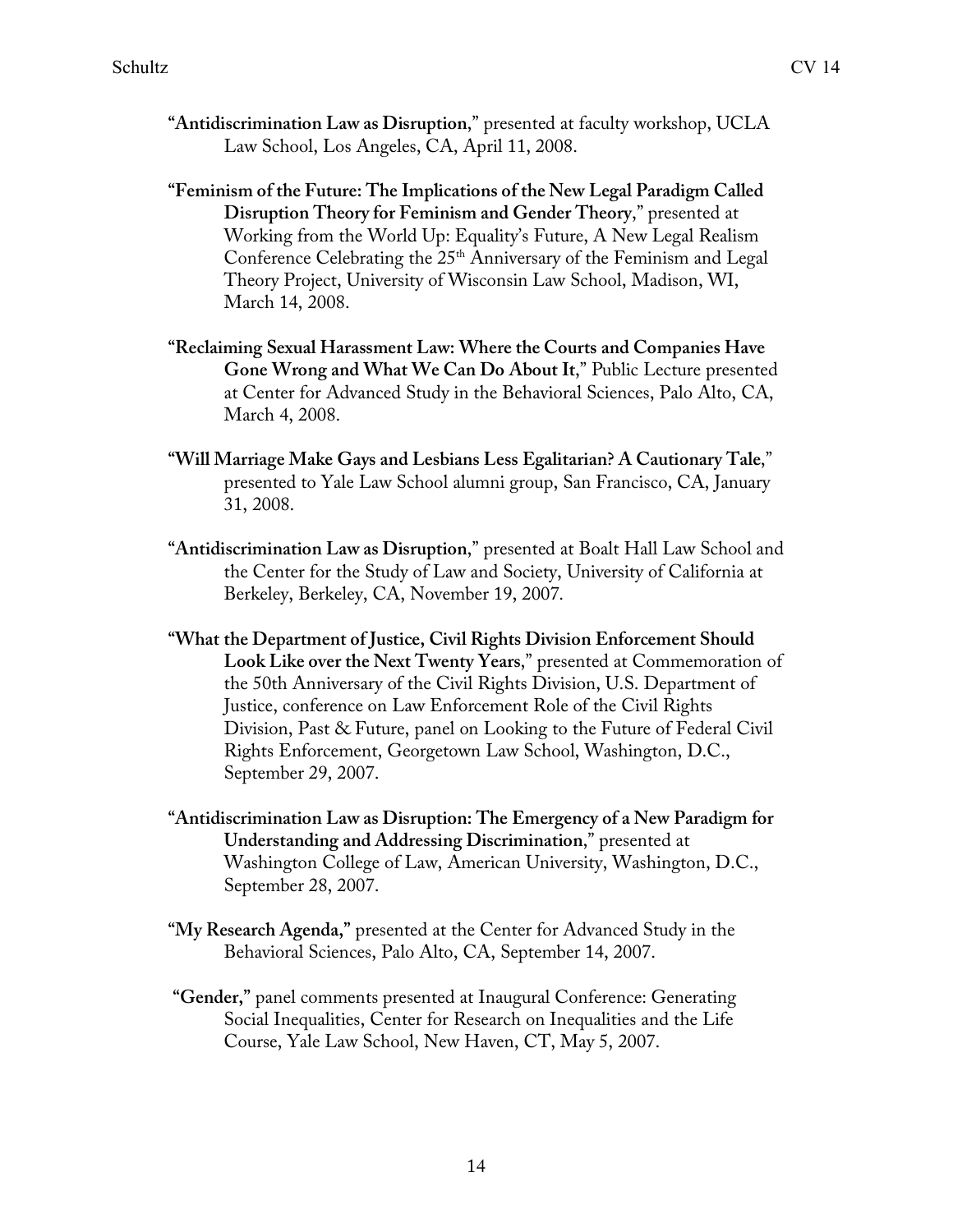- **"Antidiscrimination Law as Disruption**," presented at faculty workshop, UCLA Law School, Los Angeles, CA, April 11, 2008.
- **"Feminism of the Future: The Implications of the New Legal Paradigm Called Disruption Theory for Feminism and Gender Theory**," presented at Working from the World Up: Equality's Future, A New Legal Realism Conference Celebrating the 25<sup>th</sup> Anniversary of the Feminism and Legal Theory Project, University of Wisconsin Law School, Madison, WI, March 14, 2008.
- **"Reclaiming Sexual Harassment Law: Where the Courts and Companies Have Gone Wrong and What We Can Do About It**," Public Lecture presented at Center for Advanced Study in the Behavioral Sciences, Palo Alto, CA, March 4, 2008.
- **"Will Marriage Make Gays and Lesbians Less Egalitarian? A Cautionary Tale**," presented to Yale Law School alumni group, San Francisco, CA, January 31, 2008.
- **"Antidiscrimination Law as Disruption**," presented at Boalt Hall Law School and the Center for the Study of Law and Society, University of California at Berkeley, Berkeley, CA, November 19, 2007.
- **"What the Department of Justice, Civil Rights Division Enforcement Should Look Like over the Next Twenty Years**," presented at Commemoration of the 50th Anniversary of the Civil Rights Division, U.S. Department of Justice, conference on Law Enforcement Role of the Civil Rights Division, Past & Future, panel on Looking to the Future of Federal Civil Rights Enforcement, Georgetown Law School, Washington, D.C., September 29, 2007.
- **"Antidiscrimination Law as Disruption: The Emergency of a New Paradigm for Understanding and Addressing Discrimination**," presented at Washington College of Law, American University, Washington, D.C., September 28, 2007.
- **"My Research Agenda,"** presented at the Center for Advanced Study in the Behavioral Sciences, Palo Alto, CA, September 14, 2007.
- **"Gender,"** panel comments presented at Inaugural Conference: Generating Social Inequalities, Center for Research on Inequalities and the Life Course, Yale Law School, New Haven, CT, May 5, 2007.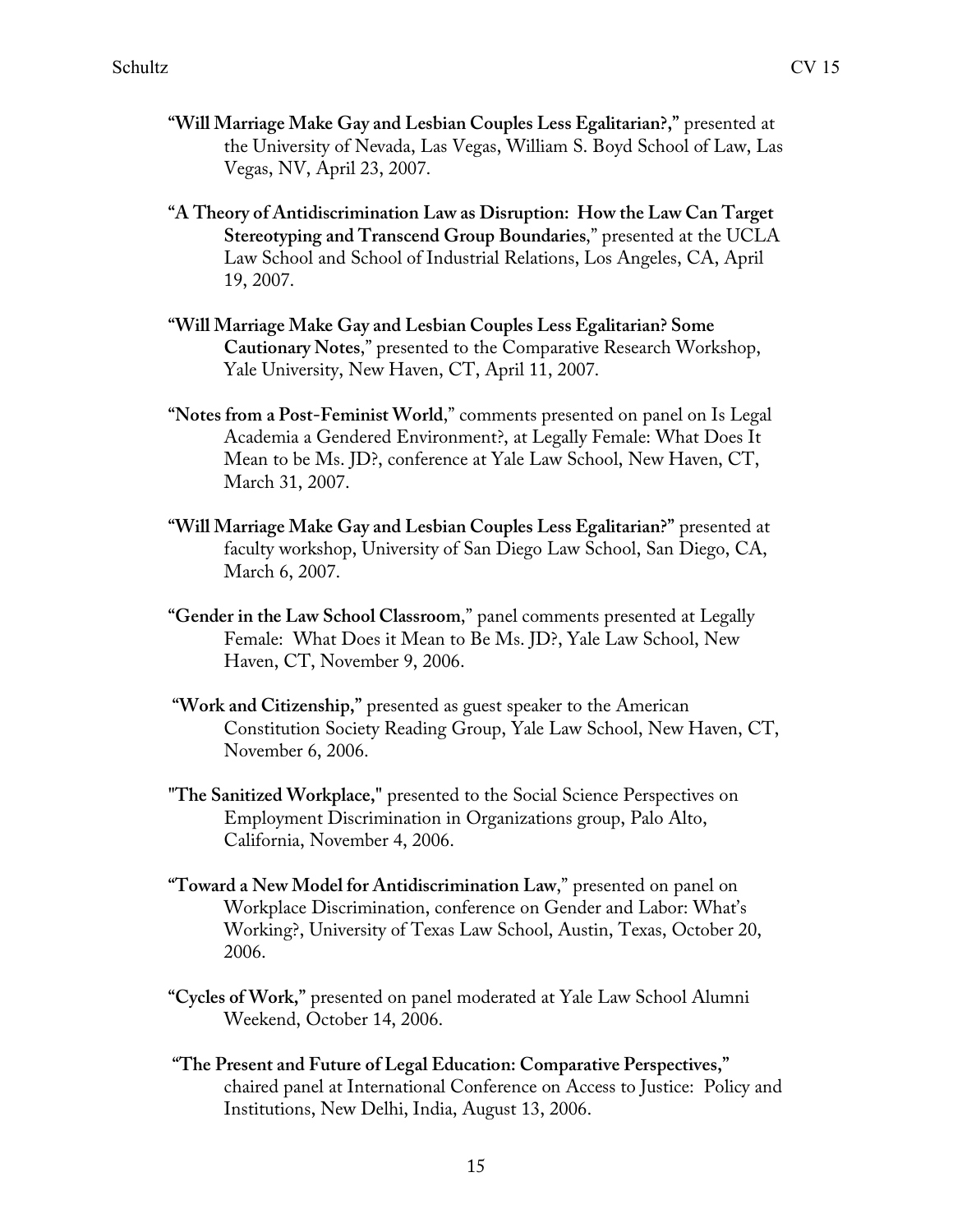- **"Will Marriage Make Gay and Lesbian Couples Less Egalitarian?,"** presented at the University of Nevada, Las Vegas, William S. Boyd School of Law, Las Vegas, NV, April 23, 2007.
- **"A Theory of Antidiscrimination Law as Disruption: How the Law Can Target Stereotyping and Transcend Group Boundaries**," presented at the UCLA Law School and School of Industrial Relations, Los Angeles, CA, April 19, 2007.
- **"Will Marriage Make Gay and Lesbian Couples Less Egalitarian? Some Cautionary Notes**," presented to the Comparative Research Workshop, Yale University, New Haven, CT, April 11, 2007.
- **"Notes from a Post-Feminist World**," comments presented on panel on Is Legal Academia a Gendered Environment?, at Legally Female: What Does It Mean to be Ms. JD?, conference at Yale Law School, New Haven, CT, March 31, 2007.
- **"Will Marriage Make Gay and Lesbian Couples Less Egalitarian?"** presented at faculty workshop, University of San Diego Law School, San Diego, CA, March 6, 2007.
- **"Gender in the Law School Classroom**," panel comments presented at Legally Female: What Does it Mean to Be Ms. JD?, Yale Law School, New Haven, CT, November 9, 2006.
- **"Work and Citizenship,"** presented as guest speaker to the American Constitution Society Reading Group, Yale Law School, New Haven, CT, November 6, 2006.
- **"The Sanitized Workplace,"** presented to the Social Science Perspectives on Employment Discrimination in Organizations group, Palo Alto, California, November 4, 2006.
- **"Toward a New Model for Antidiscrimination Law**," presented on panel on Workplace Discrimination, conference on Gender and Labor: What's Working?, University of Texas Law School, Austin, Texas, October 20, 2006.
- **"Cycles of Work,"** presented on panel moderated at Yale Law School Alumni Weekend, October 14, 2006.
- **"The Present and Future of Legal Education: Comparative Perspectives,"** chaired panel at International Conference on Access to Justice: Policy and Institutions, New Delhi, India, August 13, 2006.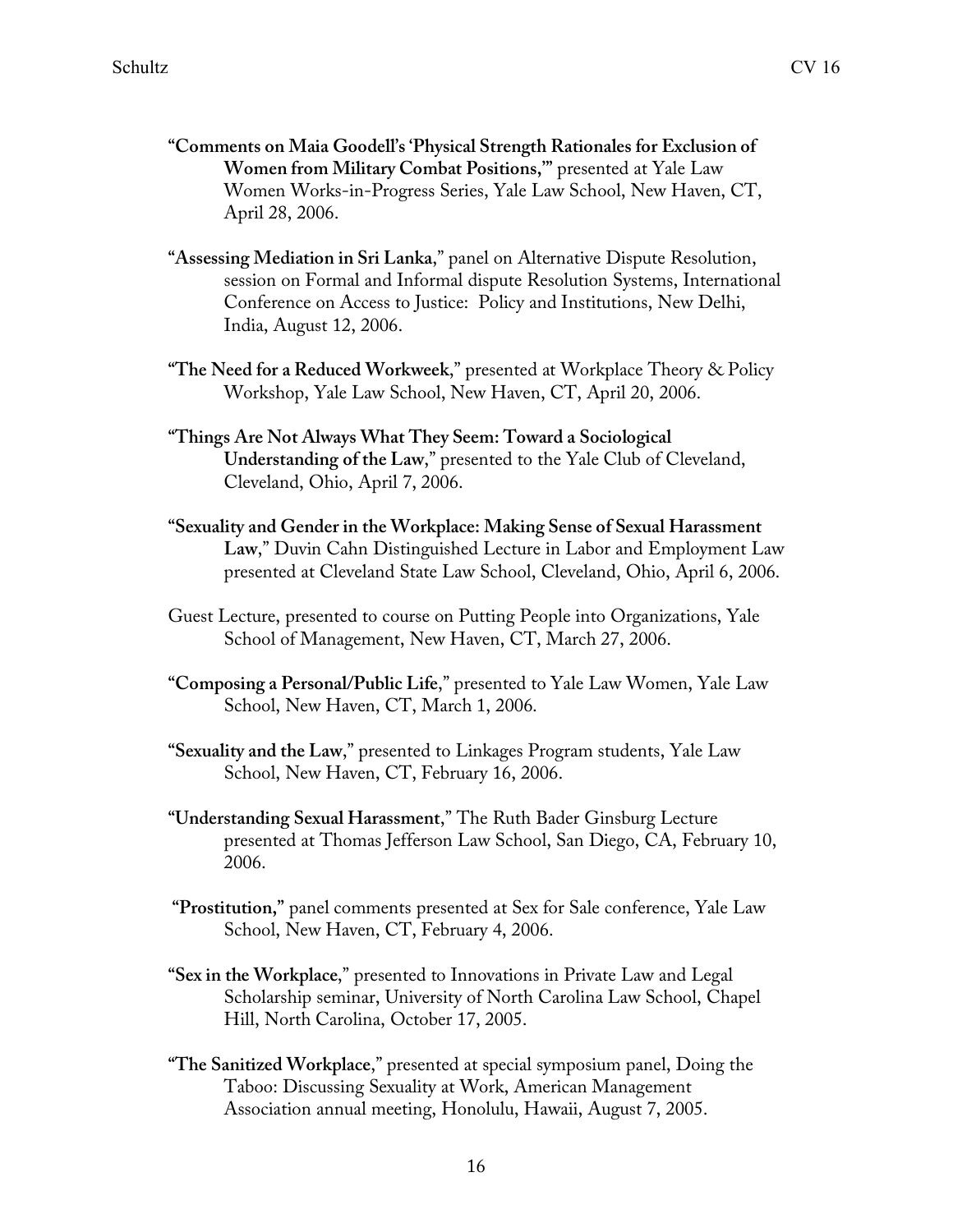- **"Comments on Maia Goodell's 'Physical Strength Rationales for Exclusion of Women from Military Combat Positions,'"** presented at Yale Law Women Works-in-Progress Series, Yale Law School, New Haven, CT, April 28, 2006.
- **"Assessing Mediation in Sri Lanka**," panel on Alternative Dispute Resolution, session on Formal and Informal dispute Resolution Systems, International Conference on Access to Justice: Policy and Institutions, New Delhi, India, August 12, 2006.
- **"The Need for a Reduced Workweek**," presented at Workplace Theory & Policy Workshop, Yale Law School, New Haven, CT, April 20, 2006.
- **"Things Are Not Always What They Seem: Toward a Sociological Understanding of the Law**," presented to the Yale Club of Cleveland, Cleveland, Ohio, April 7, 2006.
- **"Sexuality and Gender in the Workplace: Making Sense of Sexual Harassment Law**," Duvin Cahn Distinguished Lecture in Labor and Employment Law presented at Cleveland State Law School, Cleveland, Ohio, April 6, 2006.
- Guest Lecture, presented to course on Putting People into Organizations, Yale School of Management, New Haven, CT, March 27, 2006.
- **"Composing a Personal/Public Life**," presented to Yale Law Women, Yale Law School, New Haven, CT, March 1, 2006.
- **"Sexuality and the Law**," presented to Linkages Program students, Yale Law School, New Haven, CT, February 16, 2006.
- **"Understanding Sexual Harassment**," The Ruth Bader Ginsburg Lecture presented at Thomas Jefferson Law School, San Diego, CA, February 10, 2006.
- **"Prostitution,"** panel comments presented at Sex for Sale conference, Yale Law School, New Haven, CT, February 4, 2006.
- **"Sex in the Workplace**," presented to Innovations in Private Law and Legal Scholarship seminar, University of North Carolina Law School, Chapel Hill, North Carolina, October 17, 2005.
- **"The Sanitized Workplace**," presented at special symposium panel, Doing the Taboo: Discussing Sexuality at Work, American Management Association annual meeting, Honolulu, Hawaii, August 7, 2005.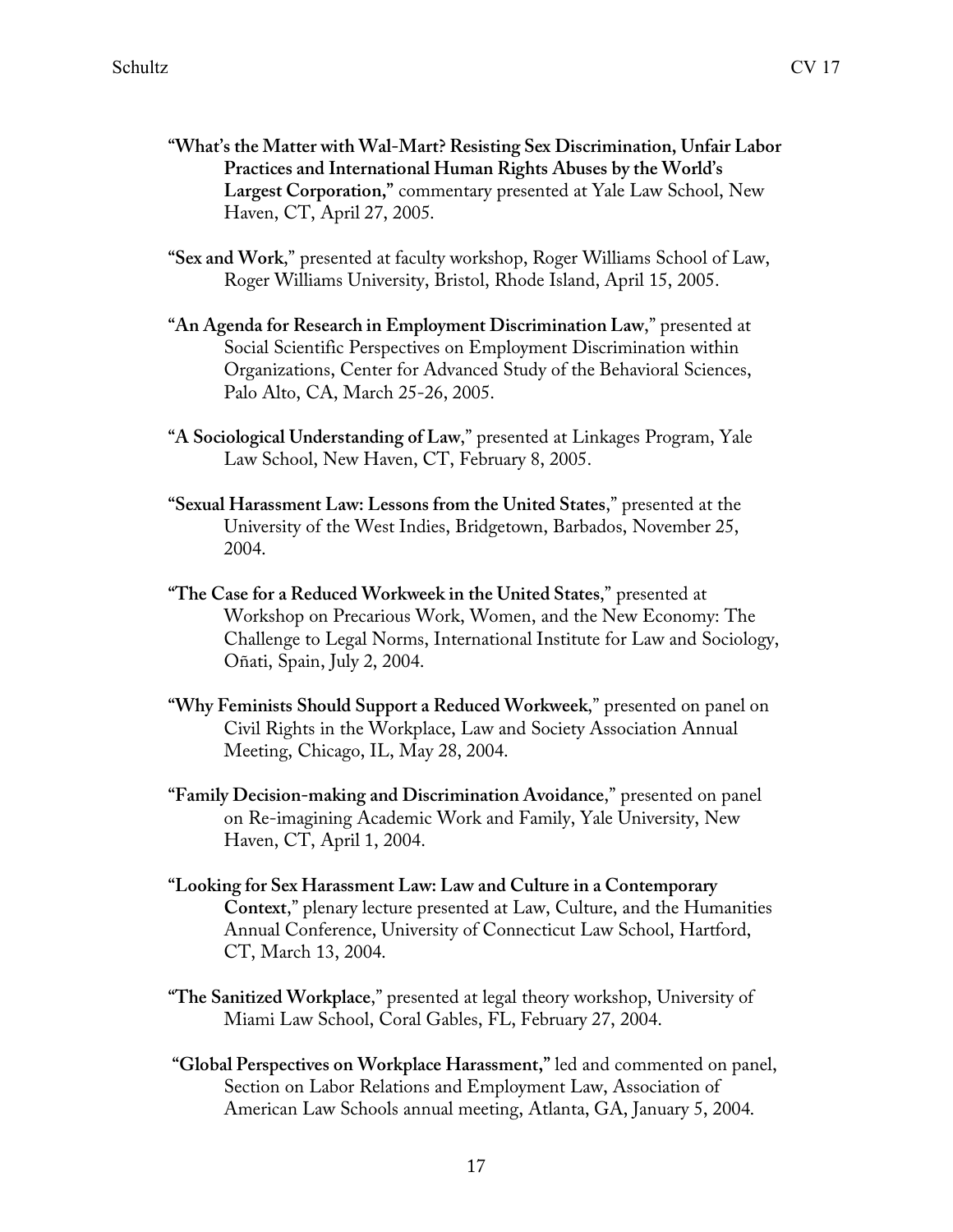- **"What's the Matter with Wal-Mart? Resisting Sex Discrimination, Unfair Labor Practices and International Human Rights Abuses by the World's Largest Corporation,"** commentary presented at Yale Law School, New Haven, CT, April 27, 2005.
- **"Sex and Work**," presented at faculty workshop, Roger Williams School of Law, Roger Williams University, Bristol, Rhode Island, April 15, 2005.
- **"An Agenda for Research in Employment Discrimination Law**," presented at Social Scientific Perspectives on Employment Discrimination within Organizations, Center for Advanced Study of the Behavioral Sciences, Palo Alto, CA, March 25-26, 2005.
- **"A Sociological Understanding of Law**," presented at Linkages Program, Yale Law School, New Haven, CT, February 8, 2005.
- **"Sexual Harassment Law: Lessons from the United States**," presented at the University of the West Indies, Bridgetown, Barbados, November 25, 2004.
- **"The Case for a Reduced Workweek in the United States**," presented at Workshop on Precarious Work, Women, and the New Economy: The Challenge to Legal Norms, International Institute for Law and Sociology, Oñati, Spain, July 2, 2004.
- **"Why Feminists Should Support a Reduced Workweek**," presented on panel on Civil Rights in the Workplace, Law and Society Association Annual Meeting, Chicago, IL, May 28, 2004.
- **"Family Decision-making and Discrimination Avoidance**," presented on panel on Re-imagining Academic Work and Family, Yale University, New Haven, CT, April 1, 2004.
- **"Looking for Sex Harassment Law: Law and Culture in a Contemporary Context**," plenary lecture presented at Law, Culture, and the Humanities Annual Conference, University of Connecticut Law School, Hartford, CT, March 13, 2004.
- **"The Sanitized Workplace**," presented at legal theory workshop, University of Miami Law School, Coral Gables, FL, February 27, 2004.
- **"Global Perspectives on Workplace Harassment,"** led and commented on panel, Section on Labor Relations and Employment Law, Association of American Law Schools annual meeting, Atlanta, GA, January 5, 2004.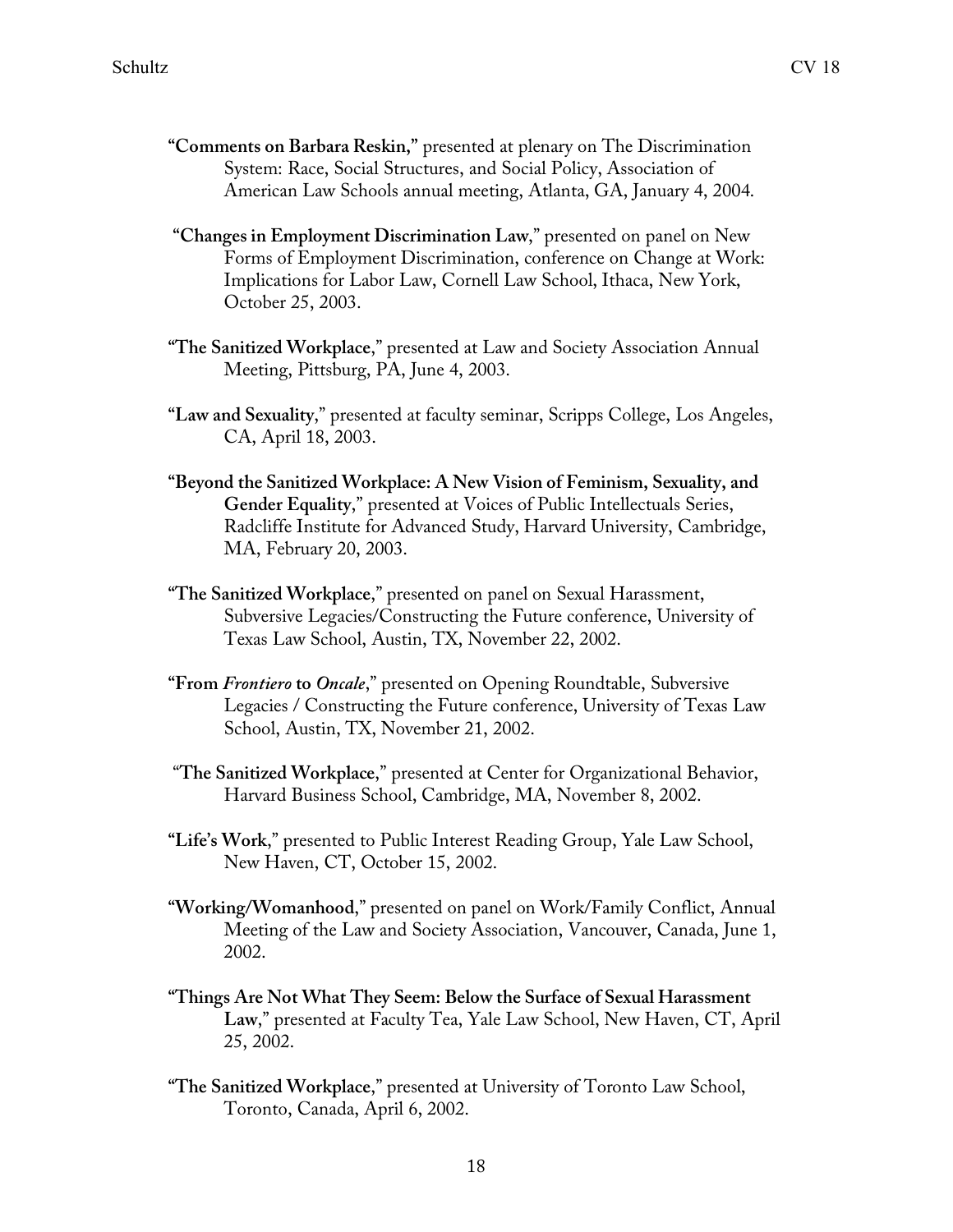- **"Comments on Barbara Reskin,"** presented at plenary on The Discrimination System: Race, Social Structures, and Social Policy, Association of American Law Schools annual meeting, Atlanta, GA, January 4, 2004.
- **"Changes in Employment Discrimination Law**," presented on panel on New Forms of Employment Discrimination, conference on Change at Work: Implications for Labor Law, Cornell Law School, Ithaca, New York, October 25, 2003.
- **"The Sanitized Workplace**," presented at Law and Society Association Annual Meeting, Pittsburg, PA, June 4, 2003.
- **"Law and Sexuality**," presented at faculty seminar, Scripps College, Los Angeles, CA, April 18, 2003.
- **"Beyond the Sanitized Workplace: A New Vision of Feminism, Sexuality, and Gender Equality**," presented at Voices of Public Intellectuals Series, Radcliffe Institute for Advanced Study, Harvard University, Cambridge, MA, February 20, 2003.
- **"The Sanitized Workplace**," presented on panel on Sexual Harassment, Subversive Legacies/Constructing the Future conference, University of Texas Law School, Austin, TX, November 22, 2002.
- **"From** *Frontiero* **to** *Oncale*," presented on Opening Roundtable, Subversive Legacies / Constructing the Future conference, University of Texas Law School, Austin, TX, November 21, 2002.
- "**The Sanitized Workplace**," presented at Center for Organizational Behavior, Harvard Business School, Cambridge, MA, November 8, 2002.
- **"Life's Work**," presented to Public Interest Reading Group, Yale Law School, New Haven, CT, October 15, 2002.
- **"Working/Womanhood**," presented on panel on Work/Family Conflict, Annual Meeting of the Law and Society Association, Vancouver, Canada, June 1, 2002.
- **"Things Are Not What They Seem: Below the Surface of Sexual Harassment Law**," presented at Faculty Tea, Yale Law School, New Haven, CT, April 25, 2002.
- **"The Sanitized Workplace**," presented at University of Toronto Law School, Toronto, Canada, April 6, 2002.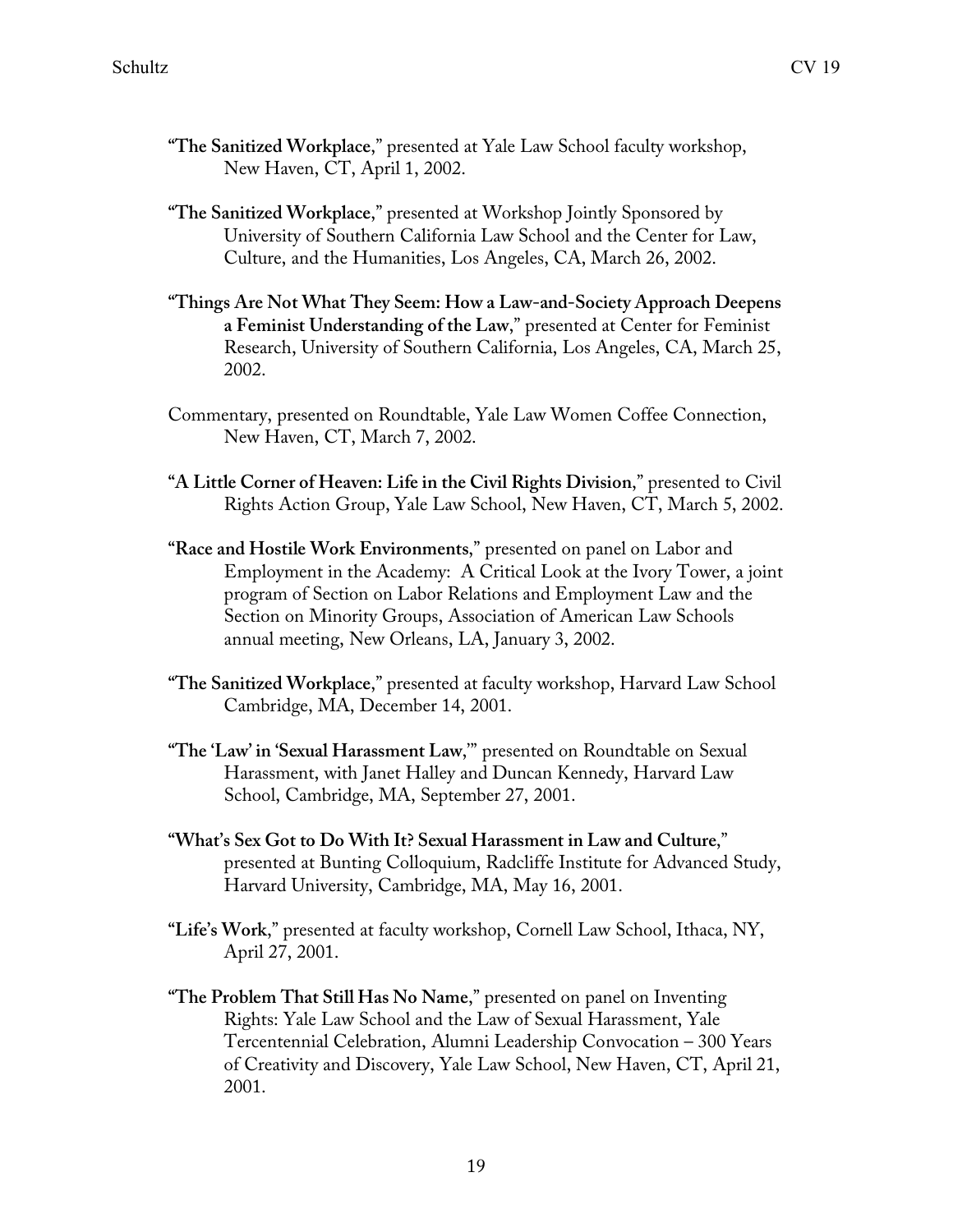- **"The Sanitized Workplace**," presented at Yale Law School faculty workshop, New Haven, CT, April 1, 2002.
- **"The Sanitized Workplace**," presented at Workshop Jointly Sponsored by University of Southern California Law School and the Center for Law, Culture, and the Humanities, Los Angeles, CA, March 26, 2002.
- **"Things Are Not What They Seem: How a Law-and-Society Approach Deepens a Feminist Understanding of the Law**," presented at Center for Feminist Research, University of Southern California, Los Angeles, CA, March 25, 2002.
- Commentary, presented on Roundtable, Yale Law Women Coffee Connection, New Haven, CT, March 7, 2002.
- **"A Little Corner of Heaven: Life in the Civil Rights Division**," presented to Civil Rights Action Group, Yale Law School, New Haven, CT, March 5, 2002.
- **"Race and Hostile Work Environments**," presented on panel on Labor and Employment in the Academy: A Critical Look at the Ivory Tower, a joint program of Section on Labor Relations and Employment Law and the Section on Minority Groups, Association of American Law Schools annual meeting, New Orleans, LA, January 3, 2002.
- **"The Sanitized Workplace**," presented at faculty workshop, Harvard Law School Cambridge, MA, December 14, 2001.
- **"The 'Law' in 'Sexual Harassment Law**,'" presented on Roundtable on Sexual Harassment, with Janet Halley and Duncan Kennedy, Harvard Law School, Cambridge, MA, September 27, 2001.
- **"What's Sex Got to Do With It? Sexual Harassment in Law and Culture**," presented at Bunting Colloquium, Radcliffe Institute for Advanced Study, Harvard University, Cambridge, MA, May 16, 2001.
- **"Life's Work**," presented at faculty workshop, Cornell Law School, Ithaca, NY, April 27, 2001.
- **"The Problem That Still Has No Name**," presented on panel on Inventing Rights: Yale Law School and the Law of Sexual Harassment, Yale Tercentennial Celebration, Alumni Leadership Convocation – 300 Years of Creativity and Discovery, Yale Law School, New Haven, CT, April 21, 2001.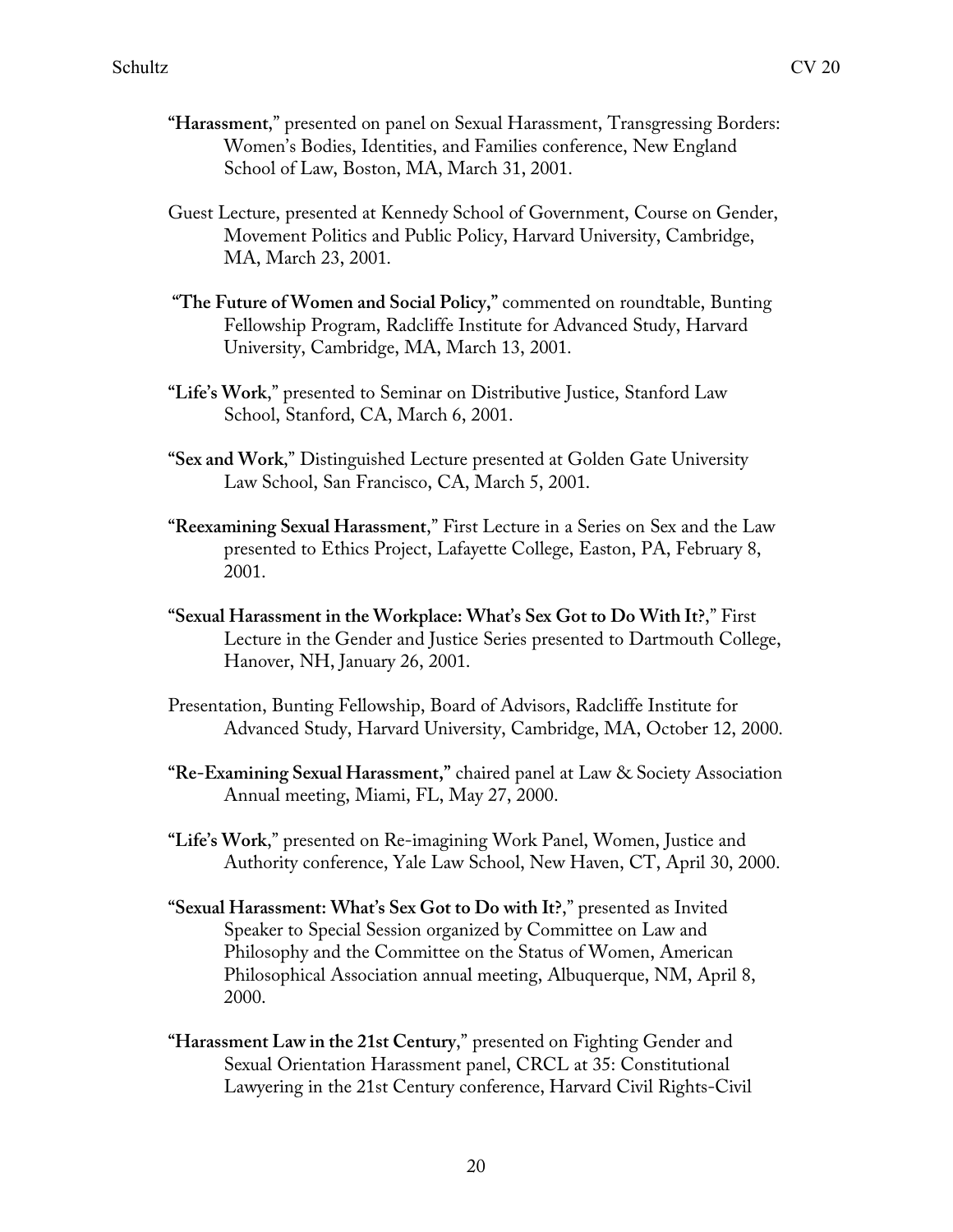- **"Harassment**," presented on panel on Sexual Harassment, Transgressing Borders: Women's Bodies, Identities, and Families conference, New England School of Law, Boston, MA, March 31, 2001.
- Guest Lecture, presented at Kennedy School of Government, Course on Gender, Movement Politics and Public Policy, Harvard University, Cambridge, MA, March 23, 2001.
- **"The Future of Women and Social Policy,"** commented on roundtable, Bunting Fellowship Program, Radcliffe Institute for Advanced Study, Harvard University, Cambridge, MA, March 13, 2001.
- **"Life's Work**," presented to Seminar on Distributive Justice, Stanford Law School, Stanford, CA, March 6, 2001.
- **"Sex and Work**," Distinguished Lecture presented at Golden Gate University Law School, San Francisco, CA, March 5, 2001.
- **"Reexamining Sexual Harassment**," First Lecture in a Series on Sex and the Law presented to Ethics Project, Lafayette College, Easton, PA, February 8, 2001.
- **"Sexual Harassment in the Workplace: What's Sex Got to Do With It?**," First Lecture in the Gender and Justice Series presented to Dartmouth College, Hanover, NH, January 26, 2001.
- Presentation, Bunting Fellowship, Board of Advisors, Radcliffe Institute for Advanced Study, Harvard University, Cambridge, MA, October 12, 2000.
- **"Re-Examining Sexual Harassment,"** chaired panel at Law & Society Association Annual meeting, Miami, FL, May 27, 2000.
- **"Life's Work**," presented on Re-imagining Work Panel, Women, Justice and Authority conference, Yale Law School, New Haven, CT, April 30, 2000.
- **"Sexual Harassment: What's Sex Got to Do with It?**," presented as Invited Speaker to Special Session organized by Committee on Law and Philosophy and the Committee on the Status of Women, American Philosophical Association annual meeting, Albuquerque, NM, April 8, 2000.
- **"Harassment Law in the 21st Century**," presented on Fighting Gender and Sexual Orientation Harassment panel, CRCL at 35: Constitutional Lawyering in the 21st Century conference, Harvard Civil Rights-Civil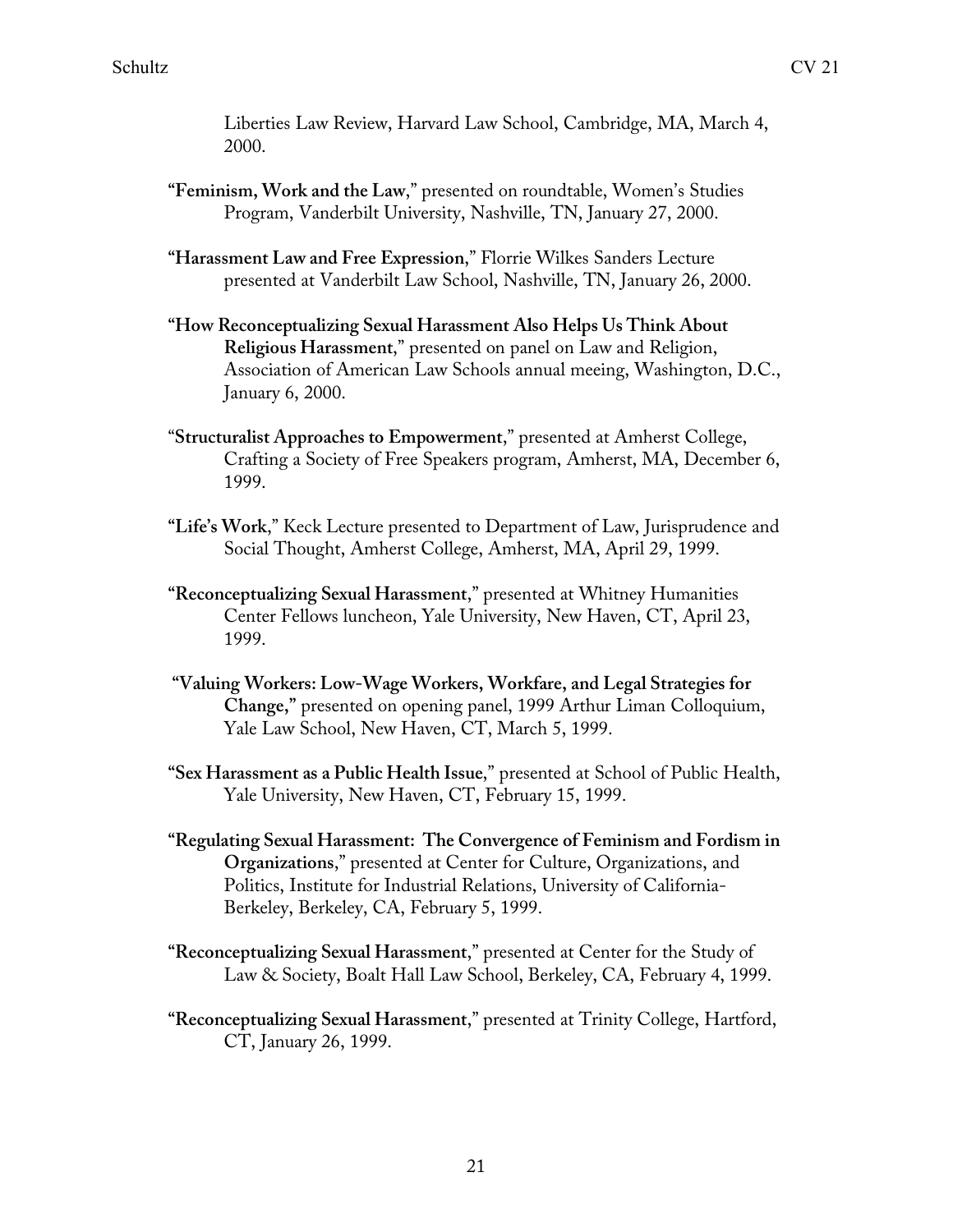Liberties Law Review, Harvard Law School, Cambridge, MA, March 4, 2000.

**"Feminism, Work and the Law**," presented on roundtable, Women's Studies Program, Vanderbilt University, Nashville, TN, January 27, 2000.

**"Harassment Law and Free Expression**," Florrie Wilkes Sanders Lecture presented at Vanderbilt Law School, Nashville, TN, January 26, 2000.

**"How Reconceptualizing Sexual Harassment Also Helps Us Think About Religious Harassment**," presented on panel on Law and Religion, Association of American Law Schools annual meeing, Washington, D.C., January 6, 2000.

- "**Structuralist Approaches to Empowerment**," presented at Amherst College, Crafting a Society of Free Speakers program, Amherst, MA, December 6, 1999.
- **"Life's Work**," Keck Lecture presented to Department of Law, Jurisprudence and Social Thought, Amherst College, Amherst, MA, April 29, 1999.
- **"Reconceptualizing Sexual Harassment**," presented at Whitney Humanities Center Fellows luncheon, Yale University, New Haven, CT, April 23, 1999.
- **"Valuing Workers: Low-Wage Workers, Workfare, and Legal Strategies for Change,"** presented on opening panel, 1999 Arthur Liman Colloquium, Yale Law School, New Haven, CT, March 5, 1999.
- **"Sex Harassment as a Public Health Issue**," presented at School of Public Health, Yale University, New Haven, CT, February 15, 1999.
- **"Regulating Sexual Harassment: The Convergence of Feminism and Fordism in Organizations**," presented at Center for Culture, Organizations, and Politics, Institute for Industrial Relations, University of California-Berkeley, Berkeley, CA, February 5, 1999.
- **"Reconceptualizing Sexual Harassment**," presented at Center for the Study of Law & Society, Boalt Hall Law School, Berkeley, CA, February 4, 1999.
- **"Reconceptualizing Sexual Harassment**," presented at Trinity College, Hartford, CT, January 26, 1999.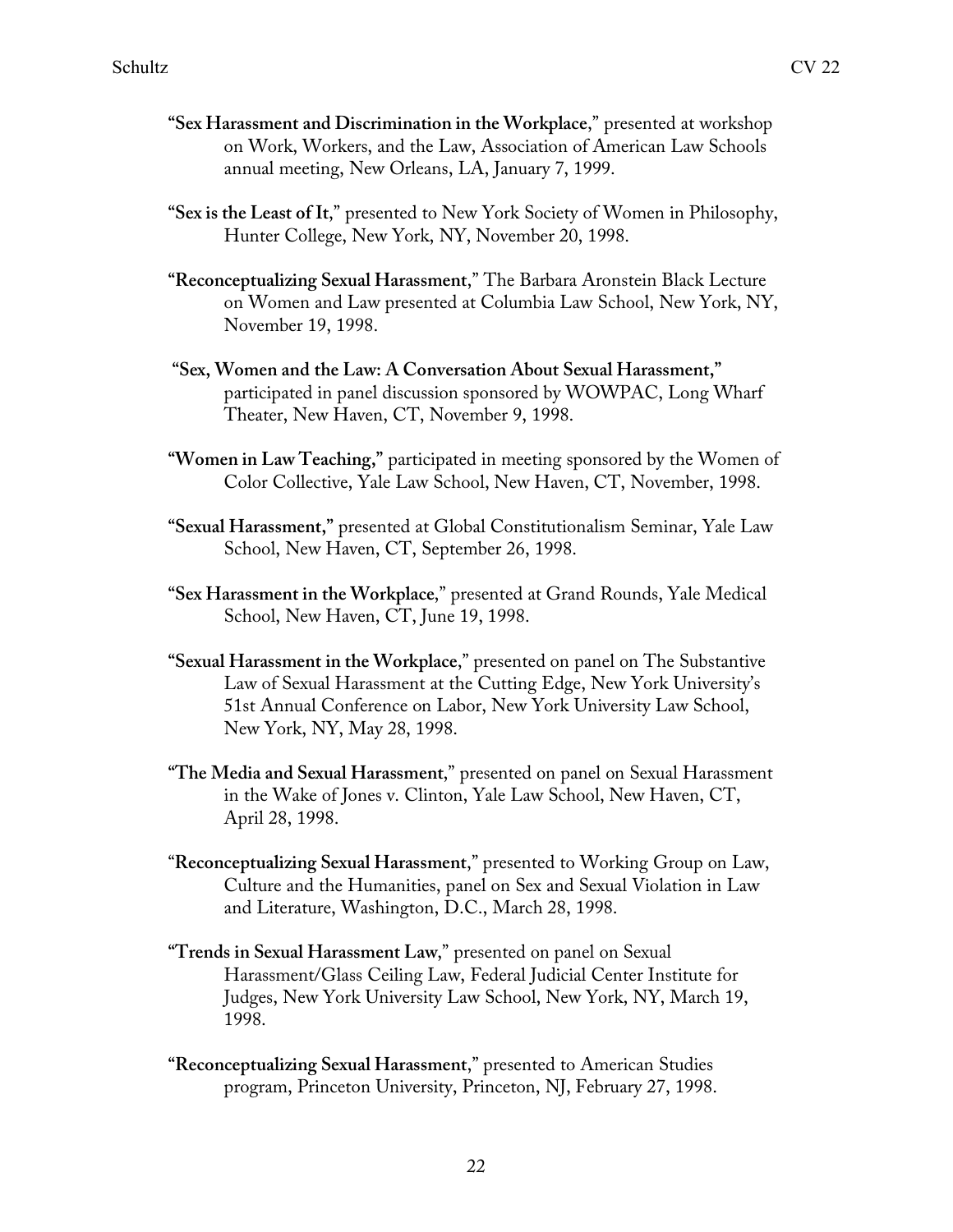- **"Sex Harassment and Discrimination in the Workplace**," presented at workshop on Work, Workers, and the Law, Association of American Law Schools annual meeting, New Orleans, LA, January 7, 1999.
- **"Sex is the Least of It**," presented to New York Society of Women in Philosophy, Hunter College, New York, NY, November 20, 1998.
- **"Reconceptualizing Sexual Harassment**," The Barbara Aronstein Black Lecture on Women and Law presented at Columbia Law School, New York, NY, November 19, 1998.
- **"Sex, Women and the Law: A Conversation About Sexual Harassment,"** participated in panel discussion sponsored by WOWPAC, Long Wharf Theater, New Haven, CT, November 9, 1998.
- **"Women in Law Teaching,"** participated in meeting sponsored by the Women of Color Collective, Yale Law School, New Haven, CT, November, 1998.
- **"Sexual Harassment,"** presented at Global Constitutionalism Seminar, Yale Law School, New Haven, CT, September 26, 1998.
- **"Sex Harassment in the Workplace**," presented at Grand Rounds, Yale Medical School, New Haven, CT, June 19, 1998.
- **"Sexual Harassment in the Workplace**," presented on panel on The Substantive Law of Sexual Harassment at the Cutting Edge, New York University's 51st Annual Conference on Labor, New York University Law School, New York, NY, May 28, 1998.
- **"The Media and Sexual Harassment**," presented on panel on Sexual Harassment in the Wake of Jones v. Clinton, Yale Law School, New Haven, CT, April 28, 1998.
- "**Reconceptualizing Sexual Harassment**," presented to Working Group on Law, Culture and the Humanities, panel on Sex and Sexual Violation in Law and Literature, Washington, D.C., March 28, 1998.
- **"Trends in Sexual Harassment Law**," presented on panel on Sexual Harassment/Glass Ceiling Law, Federal Judicial Center Institute for Judges, New York University Law School, New York, NY, March 19, 1998.
- **"Reconceptualizing Sexual Harassment**," presented to American Studies program, Princeton University, Princeton, NJ, February 27, 1998.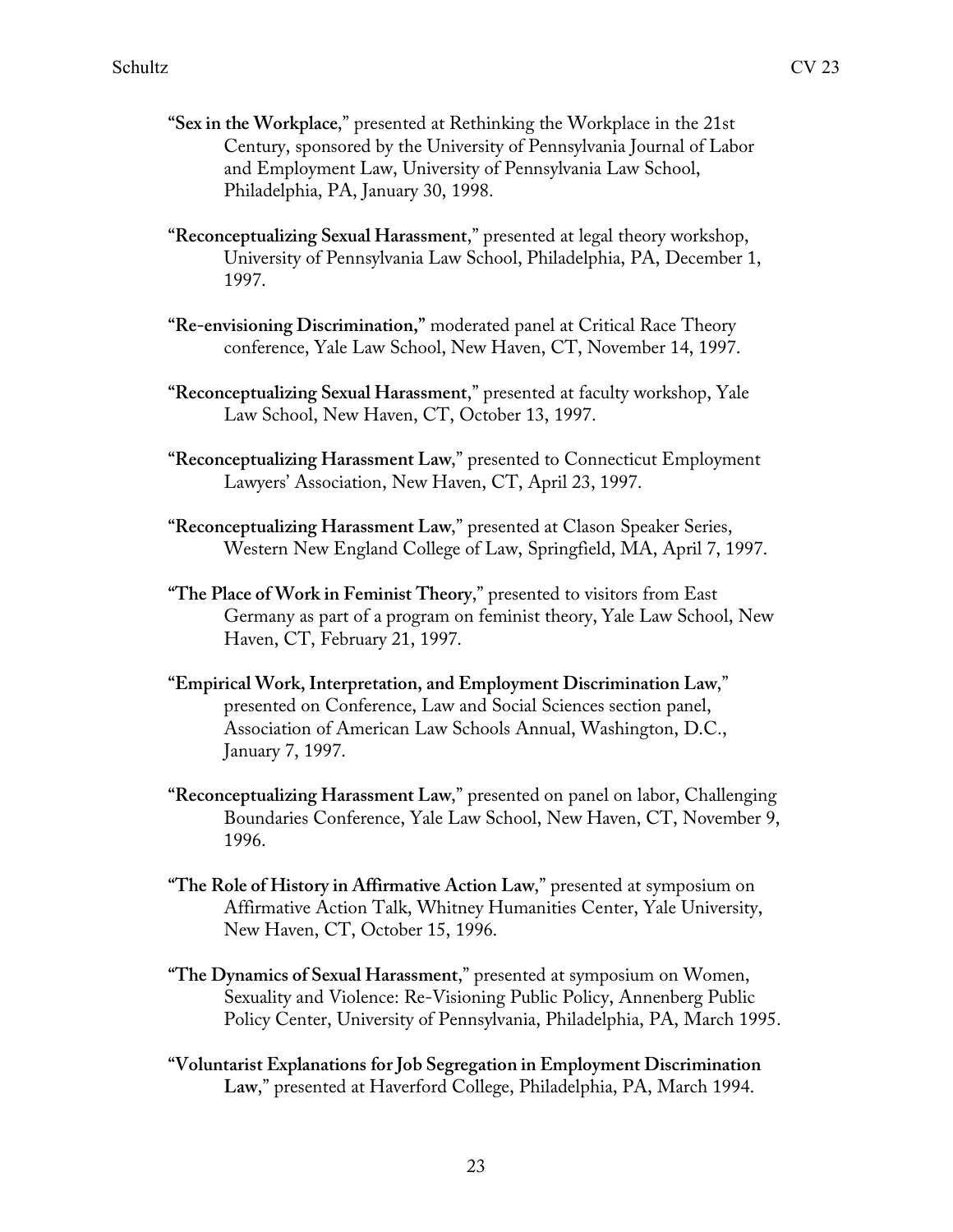- **"Sex in the Workplace**," presented at Rethinking the Workplace in the 21st Century, sponsored by the University of Pennsylvania Journal of Labor and Employment Law, University of Pennsylvania Law School, Philadelphia, PA, January 30, 1998.
- **"Reconceptualizing Sexual Harassment**," presented at legal theory workshop, University of Pennsylvania Law School, Philadelphia, PA, December 1, 1997.
- **"Re-envisioning Discrimination,"** moderated panel at Critical Race Theory conference, Yale Law School, New Haven, CT, November 14, 1997.
- **"Reconceptualizing Sexual Harassment**," presented at faculty workshop, Yale Law School, New Haven, CT, October 13, 1997.
- **"Reconceptualizing Harassment Law**," presented to Connecticut Employment Lawyers' Association, New Haven, CT, April 23, 1997.
- **"Reconceptualizing Harassment Law**," presented at Clason Speaker Series, Western New England College of Law, Springfield, MA, April 7, 1997.
- **"The Place of Work in Feminist Theory**," presented to visitors from East Germany as part of a program on feminist theory, Yale Law School, New Haven, CT, February 21, 1997.
- **"Empirical Work, Interpretation, and Employment Discrimination Law**," presented on Conference, Law and Social Sciences section panel, Association of American Law Schools Annual, Washington, D.C., January 7, 1997.
- **"Reconceptualizing Harassment Law**," presented on panel on labor, Challenging Boundaries Conference, Yale Law School, New Haven, CT, November 9, 1996.
- **"The Role of History in Affirmative Action Law**," presented at symposium on Affirmative Action Talk, Whitney Humanities Center, Yale University, New Haven, CT, October 15, 1996.
- **"The Dynamics of Sexual Harassment**," presented at symposium on Women, Sexuality and Violence: Re-Visioning Public Policy, Annenberg Public Policy Center, University of Pennsylvania, Philadelphia, PA, March 1995.
- **"Voluntarist Explanations for Job Segregation in Employment Discrimination Law**," presented at Haverford College, Philadelphia, PA, March 1994.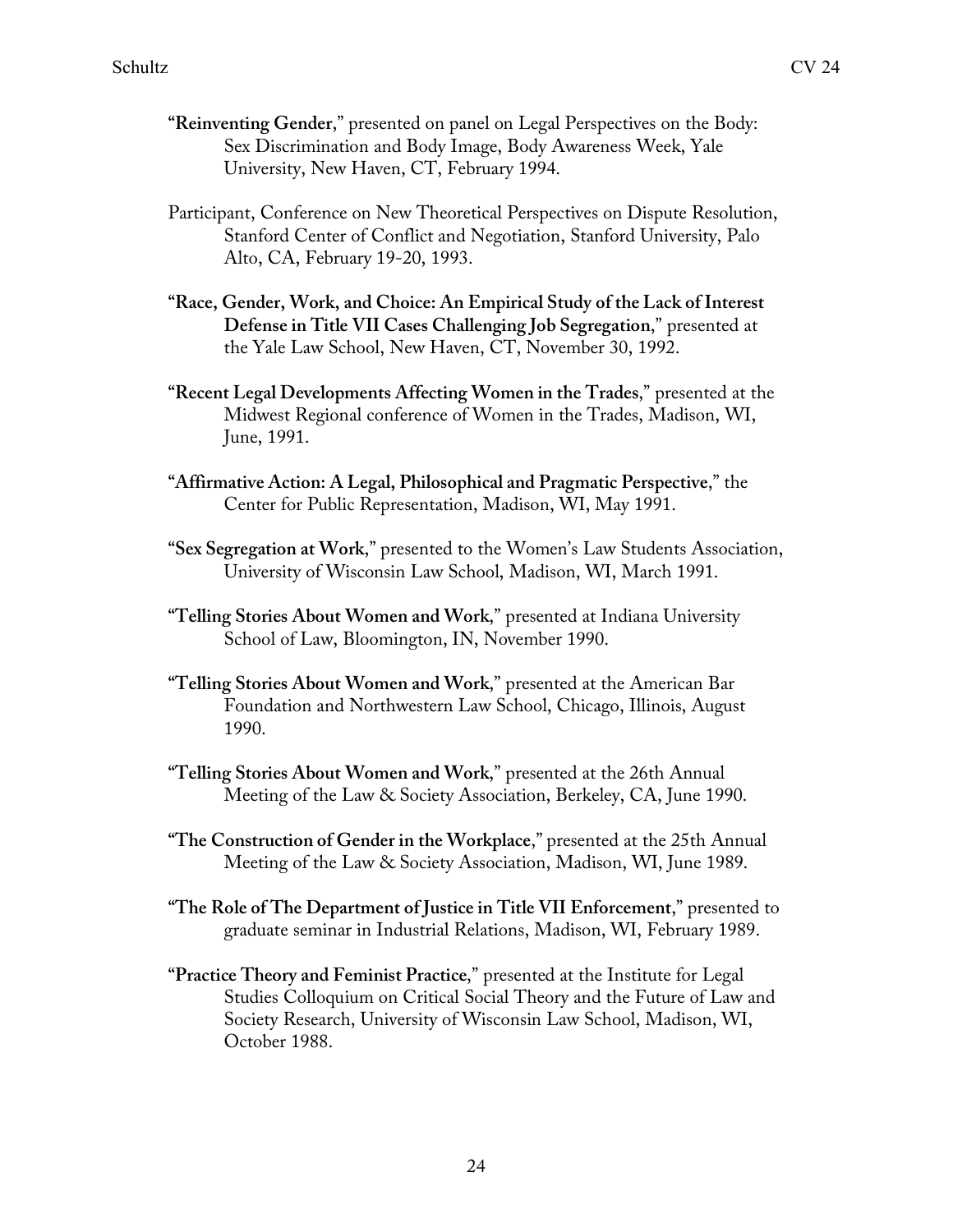- **"Reinventing Gender**," presented on panel on Legal Perspectives on the Body: Sex Discrimination and Body Image, Body Awareness Week, Yale University, New Haven, CT, February 1994.
- Participant, Conference on New Theoretical Perspectives on Dispute Resolution, Stanford Center of Conflict and Negotiation, Stanford University, Palo Alto, CA, February 19-20, 1993.
- **"Race, Gender, Work, and Choice: An Empirical Study of the Lack of Interest Defense in Title VII Cases Challenging Job Segregation**," presented at the Yale Law School, New Haven, CT, November 30, 1992.
- **"Recent Legal Developments Affecting Women in the Trades**," presented at the Midwest Regional conference of Women in the Trades, Madison, WI, June, 1991.
- **"Affirmative Action: A Legal, Philosophical and Pragmatic Perspective**," the Center for Public Representation, Madison, WI, May 1991.
- **"Sex Segregation at Work**," presented to the Women's Law Students Association, University of Wisconsin Law School, Madison, WI, March 1991.
- **"Telling Stories About Women and Work**," presented at Indiana University School of Law, Bloomington, IN, November 1990.
- **"Telling Stories About Women and Work**," presented at the American Bar Foundation and Northwestern Law School, Chicago, Illinois, August 1990.
- **"Telling Stories About Women and Work**," presented at the 26th Annual Meeting of the Law & Society Association, Berkeley, CA, June 1990.
- **"The Construction of Gender in the Workplace**," presented at the 25th Annual Meeting of the Law & Society Association, Madison, WI, June 1989.
- **"The Role of The Department of Justice in Title VII Enforcement**," presented to graduate seminar in Industrial Relations, Madison, WI, February 1989.
- **"Practice Theory and Feminist Practice**," presented at the Institute for Legal Studies Colloquium on Critical Social Theory and the Future of Law and Society Research, University of Wisconsin Law School, Madison, WI, October 1988.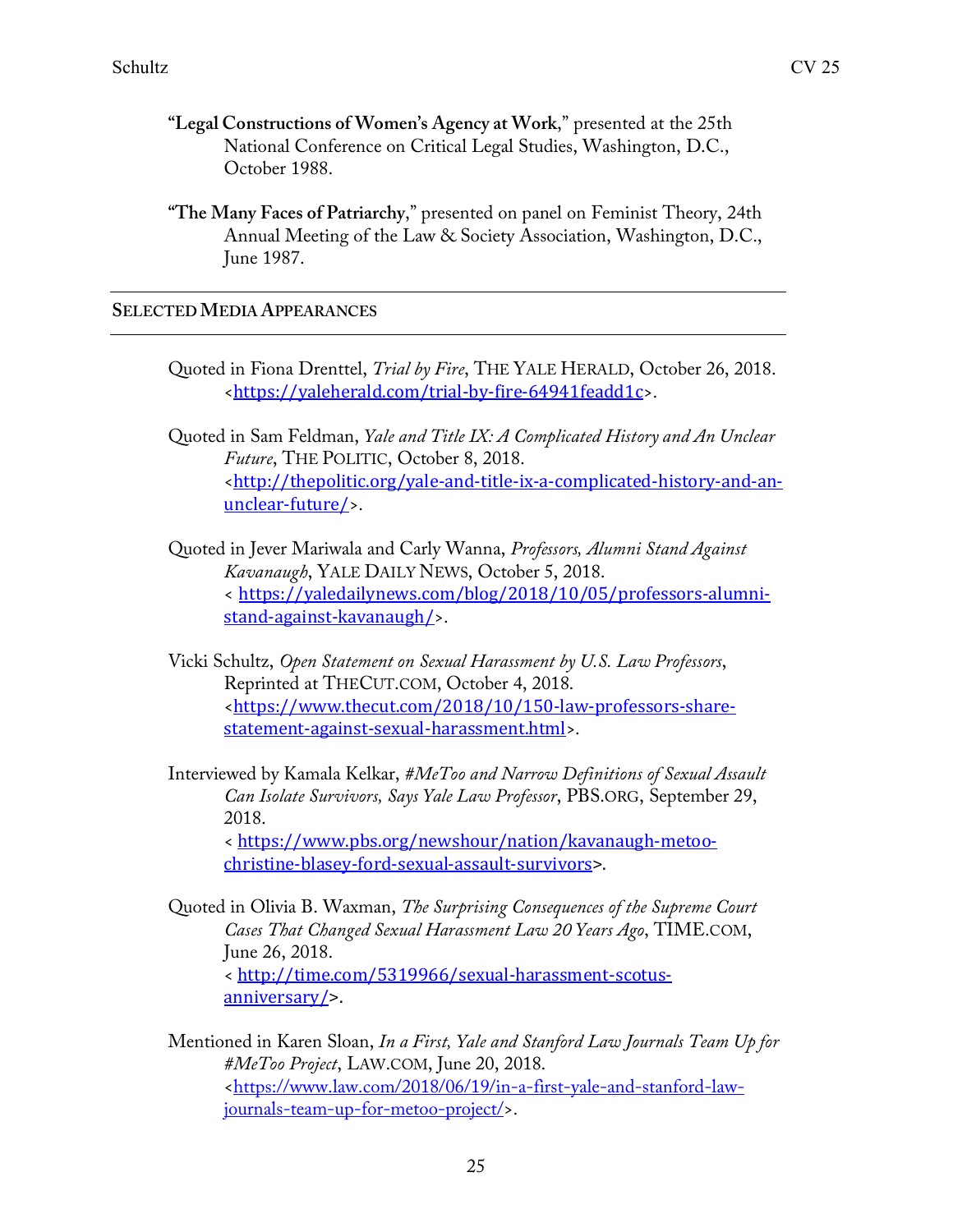- **"Legal Constructions of Women's Agency at Work**," presented at the 25th National Conference on Critical Legal Studies, Washington, D.C., October 1988.
- **"The Many Faces of Patriarchy**," presented on panel on Feminist Theory, 24th Annual Meeting of the Law & Society Association, Washington, D.C., June 1987.

**SELECTED MEDIA APPEARANCES**

- Quoted in Fiona Drenttel, *Trial by Fire*, THE YALE HERALD, October 26, 2018. <https://yaleherald.com/trial-by-fire-64941feadd1c>.
- Quoted in Sam Feldman, *Yale and Title IX: A Complicated History and An Unclear Future*, THE POLITIC, October 8, 2018. <http://thepolitic.org/yale-and-title-ix-a-complicated-history-and-anunclear-future/>.
- Quoted in Jever Mariwala and Carly Wanna, *Professors, Alumni Stand Against Kavanaugh*, YALE DAILY NEWS, October 5, 2018. < https://yaledailynews.com/blog/2018/10/05/professors-alumnistand-against-kavanaugh/>.
- Vicki Schultz, *Open Statement on Sexual Harassment by U.S. Law Professors*, Reprinted at THECUT.COM, October 4, 2018. <https://www.thecut.com/2018/10/150-law-professors-sharestatement-against-sexual-harassment.html>.
- Interviewed by Kamala Kelkar, *#MeToo and Narrow Definitions of Sexual Assault Can Isolate Survivors, Says Yale Law Professor*, PBS.ORG, September 29, 2018. < https://www.pbs.org/newshour/nation/kavanaugh-metoochristine-blasey-ford-sexual-assault-survivors>.
- Quoted in Olivia B. Waxman, *The Surprising Consequences of the Supreme Court Cases That Changed Sexual Harassment Law 20 Years Ago*, TIME.COM, June 26, 2018. < http://time.com/5319966/sexual-harassment-scotusanniversary/>.
- Mentioned in Karen Sloan, *In a First, Yale and Stanford Law Journals Team Up for #MeToo Project*, LAW.COM, June 20, 2018. <https://www.law.com/2018/06/19/in-a-first-yale-and-stanford-lawjournals-team-up-for-metoo-project/>.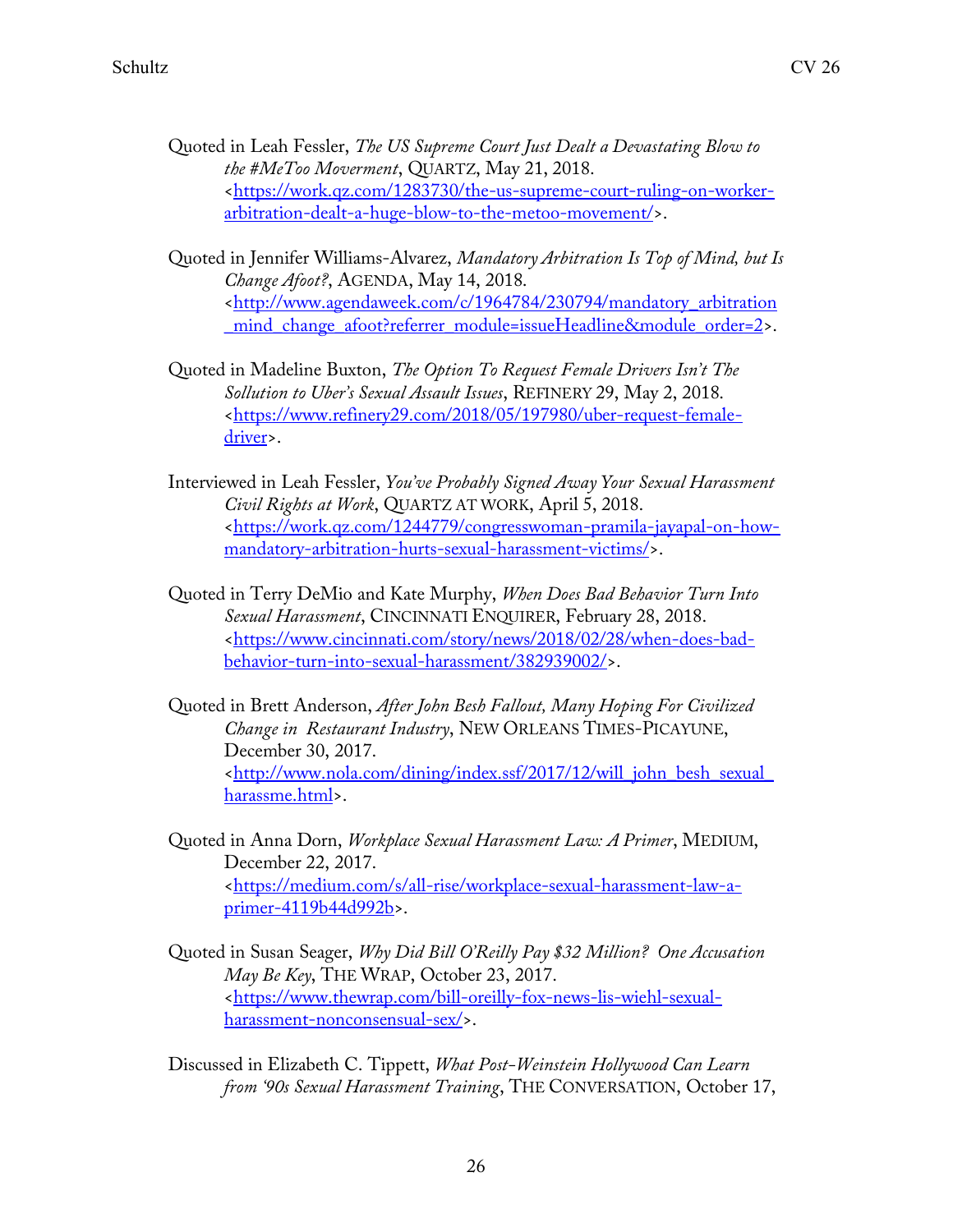- Quoted in Leah Fessler, *The US Supreme Court Just Dealt a Devastating Blow to the #MeToo Moverment*, QUARTZ, May 21, 2018. <https://work.qz.com/1283730/the-us-supreme-court-ruling-on-workerarbitration-dealt-a-huge-blow-to-the-metoo-movement/>.
- Quoted in Jennifer Williams-Alvarez, *Mandatory Arbitration Is Top of Mind, but Is Change Afoot?*, AGENDA, May 14, 2018. <http://www.agendaweek.com/c/1964784/230794/mandatory\_arbitration mind\_change\_afoot?referrer\_module=issueHeadline&module\_order=2>.
- Quoted in Madeline Buxton, *The Option To Request Female Drivers Isn't The Sollution to Uber's Sexual Assault Issues*, REFINERY 29, May 2, 2018. <https://www.refinery29.com/2018/05/197980/uber-request-femaledriver>.
- Interviewed in Leah Fessler, *You've Probably Signed Away Your Sexual Harassment Civil Rights at Work*, QUARTZ AT WORK, April 5, 2018. <https://work.qz.com/1244779/congresswoman-pramila-jayapal-on-howmandatory-arbitration-hurts-sexual-harassment-victims/>.
- Quoted in Terry DeMio and Kate Murphy, *When Does Bad Behavior Turn Into Sexual Harassment*, CINCINNATI ENQUIRER, February 28, 2018. <https://www.cincinnati.com/story/news/2018/02/28/when-does-badbehavior-turn-into-sexual-harassment/382939002/>.
- Quoted in Brett Anderson, *After John Besh Fallout, Many Hoping For Civilized Change in Restaurant Industry*, NEW ORLEANS TIMES-PICAYUNE, December 30, 2017. <http://www.nola.com/dining/index.ssf/2017/12/will\_john\_besh\_sexual\_ harassme.html>.
- Quoted in Anna Dorn, *Workplace Sexual Harassment Law: A Primer*, MEDIUM, December 22, 2017. <https://medium.com/s/all-rise/workplace-sexual-harassment-law-aprimer-4119b44d992b>.
- Quoted in Susan Seager, *Why Did Bill O'Reilly Pay \$32 Million? One Accusation May Be Key*, THE WRAP, October 23, 2017. <https://www.thewrap.com/bill-oreilly-fox-news-lis-wiehl-sexualharassment-nonconsensual-sex/>.
- Discussed in Elizabeth C. Tippett, *What Post-Weinstein Hollywood Can Learn from '90s Sexual Harassment Training*, THE CONVERSATION, October 17,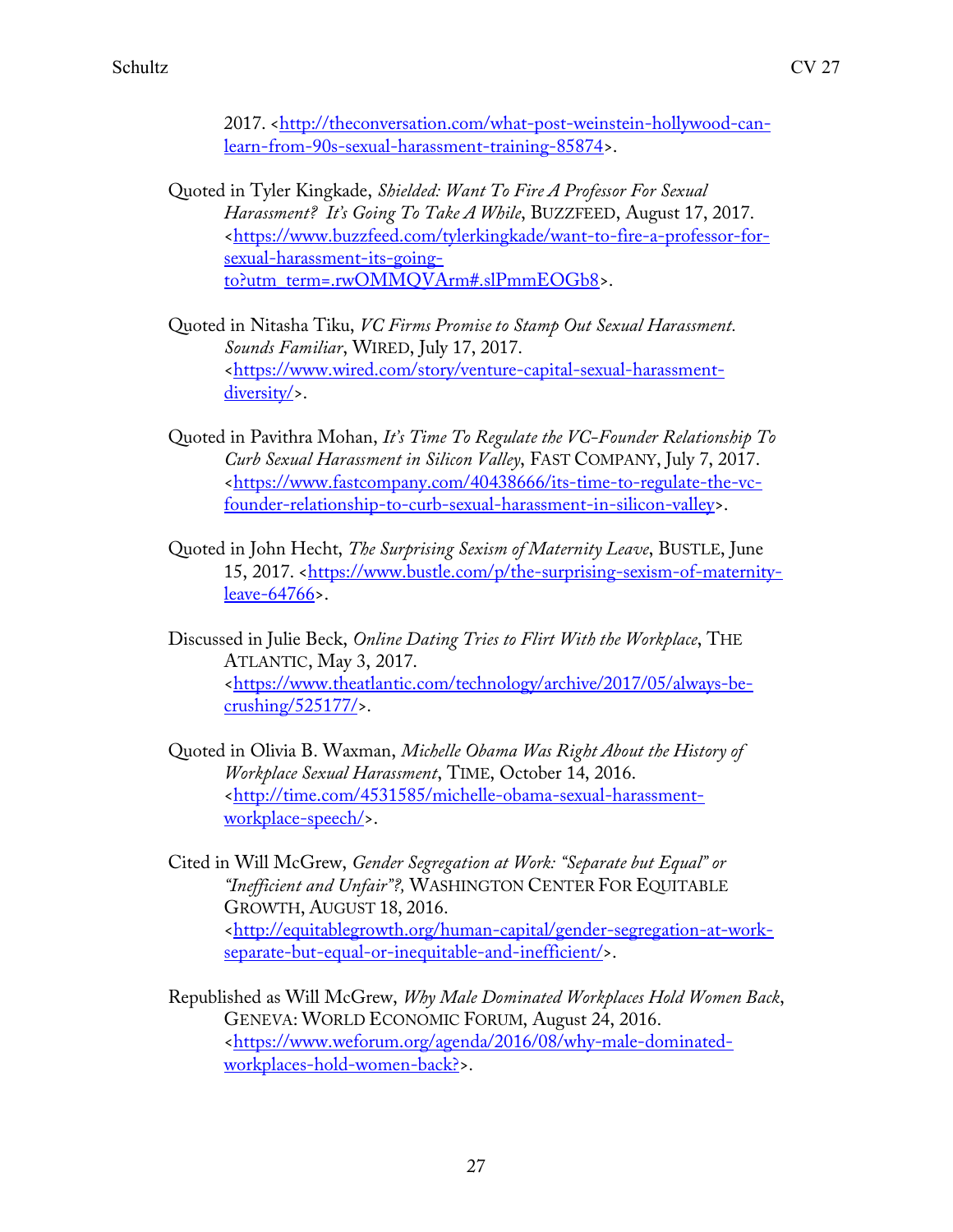2017. <http://theconversation.com/what-post-weinstein-hollywood-canlearn-from-90s-sexual-harassment-training-85874>.

- Quoted in Tyler Kingkade, *Shielded: Want To Fire A Professor For Sexual Harassment? It's Going To Take A While*, BUZZFEED, August 17, 2017. <https://www.buzzfeed.com/tylerkingkade/want-to-fire-a-professor-forsexual-harassment-its-goingto?utm\_term=.rwOMMQVArm#.slPmmEOGb8>.
- Quoted in Nitasha Tiku, *VC Firms Promise to Stamp Out Sexual Harassment. Sounds Familiar*, WIRED, July 17, 2017. <https://www.wired.com/story/venture-capital-sexual-harassmentdiversity/>.
- Quoted in Pavithra Mohan, *It's Time To Regulate the VC-Founder Relationship To Curb Sexual Harassment in Silicon Valley*, FAST COMPANY, July 7, 2017. <https://www.fastcompany.com/40438666/its-time-to-regulate-the-vcfounder-relationship-to-curb-sexual-harassment-in-silicon-valley>.
- Quoted in John Hecht, *The Surprising Sexism of Maternity Leave*, BUSTLE, June 15, 2017. <https://www.bustle.com/p/the-surprising-sexism-of-maternityleave-64766>.
- Discussed in Julie Beck, *Online Dating Tries to Flirt With the Workplace*, THE ATLANTIC, May 3, 2017. <https://www.theatlantic.com/technology/archive/2017/05/always-becrushing/525177/>.
- Quoted in Olivia B. Waxman, *Michelle Obama Was Right About the History of Workplace Sexual Harassment*, TIME, October 14, 2016. <http://time.com/4531585/michelle-obama-sexual-harassmentworkplace-speech/>.
- Cited in Will McGrew, *Gender Segregation at Work: "Separate but Equal" or "Inefficient and Unfair"?,* WASHINGTON CENTER FOR EQUITABLE GROWTH, AUGUST 18, 2016. <http://equitablegrowth.org/human-capital/gender-segregation-at-workseparate-but-equal-or-inequitable-and-inefficient/>.
- Republished as Will McGrew, *Why Male Dominated Workplaces Hold Women Back*, GENEVA: WORLD ECONOMIC FORUM, August 24, 2016. <https://www.weforum.org/agenda/2016/08/why-male-dominatedworkplaces-hold-women-back?>.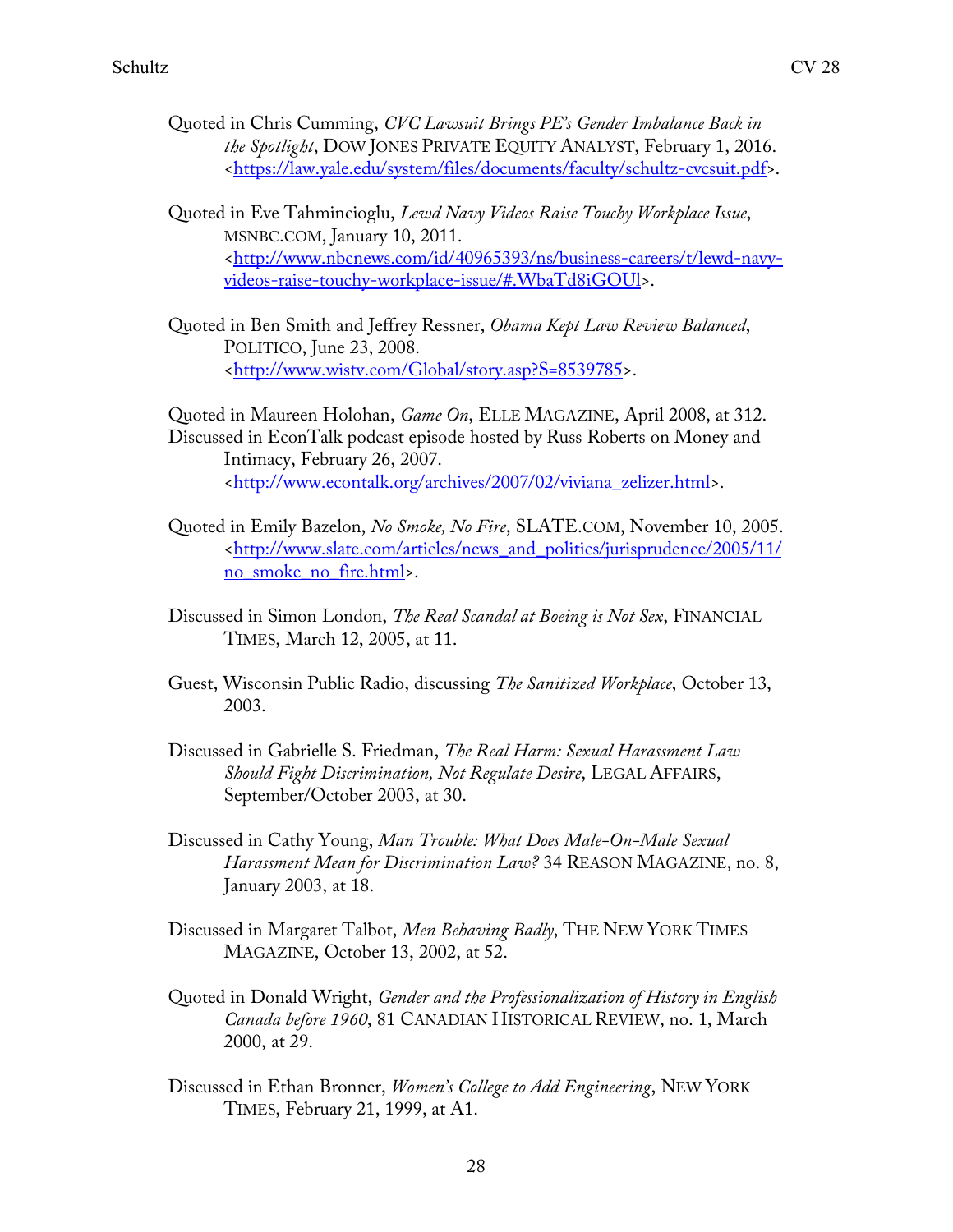- Quoted in Chris Cumming, *CVC Lawsuit Brings PE's Gender Imbalance Back in the Spotlight*, DOW JONES PRIVATE EQUITY ANALYST, February 1, 2016. <https://law.yale.edu/system/files/documents/faculty/schultz-cvcsuit.pdf>.
- Quoted in Eve Tahmincioglu, *Lewd Navy Videos Raise Touchy Workplace Issue*, MSNBC.COM, January 10, 2011. <http://www.nbcnews.com/id/40965393/ns/business-careers/t/lewd-navyvideos-raise-touchy-workplace-issue/#.WbaTd8iGOUl>.
- Quoted in Ben Smith and Jeffrey Ressner, *Obama Kept Law Review Balanced*, POLITICO, June 23, 2008. <http://www.wistv.com/Global/story.asp?S=8539785>.

Quoted in Maureen Holohan, *Game On*, ELLE MAGAZINE, April 2008, at 312. Discussed in EconTalk podcast episode hosted by Russ Roberts on Money and Intimacy, February 26, 2007. <http://www.econtalk.org/archives/2007/02/viviana\_zelizer.html>.

- Quoted in Emily Bazelon, *No Smoke, No Fire*, SLATE.COM, November 10, 2005. <http://www.slate.com/articles/news\_and\_politics/jurisprudence/2005/11/ no\_smoke\_no\_fire.html>.
- Discussed in Simon London, *The Real Scandal at Boeing is Not Sex*, FINANCIAL TIMES, March 12, 2005, at 11.
- Guest, Wisconsin Public Radio, discussing *The Sanitized Workplace*, October 13, 2003.
- Discussed in Gabrielle S. Friedman, *The Real Harm: Sexual Harassment Law Should Fight Discrimination, Not Regulate Desire*, LEGAL AFFAIRS, September/October 2003, at 30.
- Discussed in Cathy Young, *Man Trouble: What Does Male-On-Male Sexual Harassment Mean for Discrimination Law?* 34 REASON MAGAZINE, no. 8, January 2003, at 18.
- Discussed in Margaret Talbot, *Men Behaving Badly*, THE NEW YORK TIMES MAGAZINE, October 13, 2002, at 52.
- Quoted in Donald Wright, *Gender and the Professionalization of History in English Canada before 1960*, 81 CANADIAN HISTORICAL REVIEW, no. 1, March 2000, at 29.
- Discussed in Ethan Bronner, *Women's College to Add Engineering*, NEW YORK TIMES, February 21, 1999, at A1.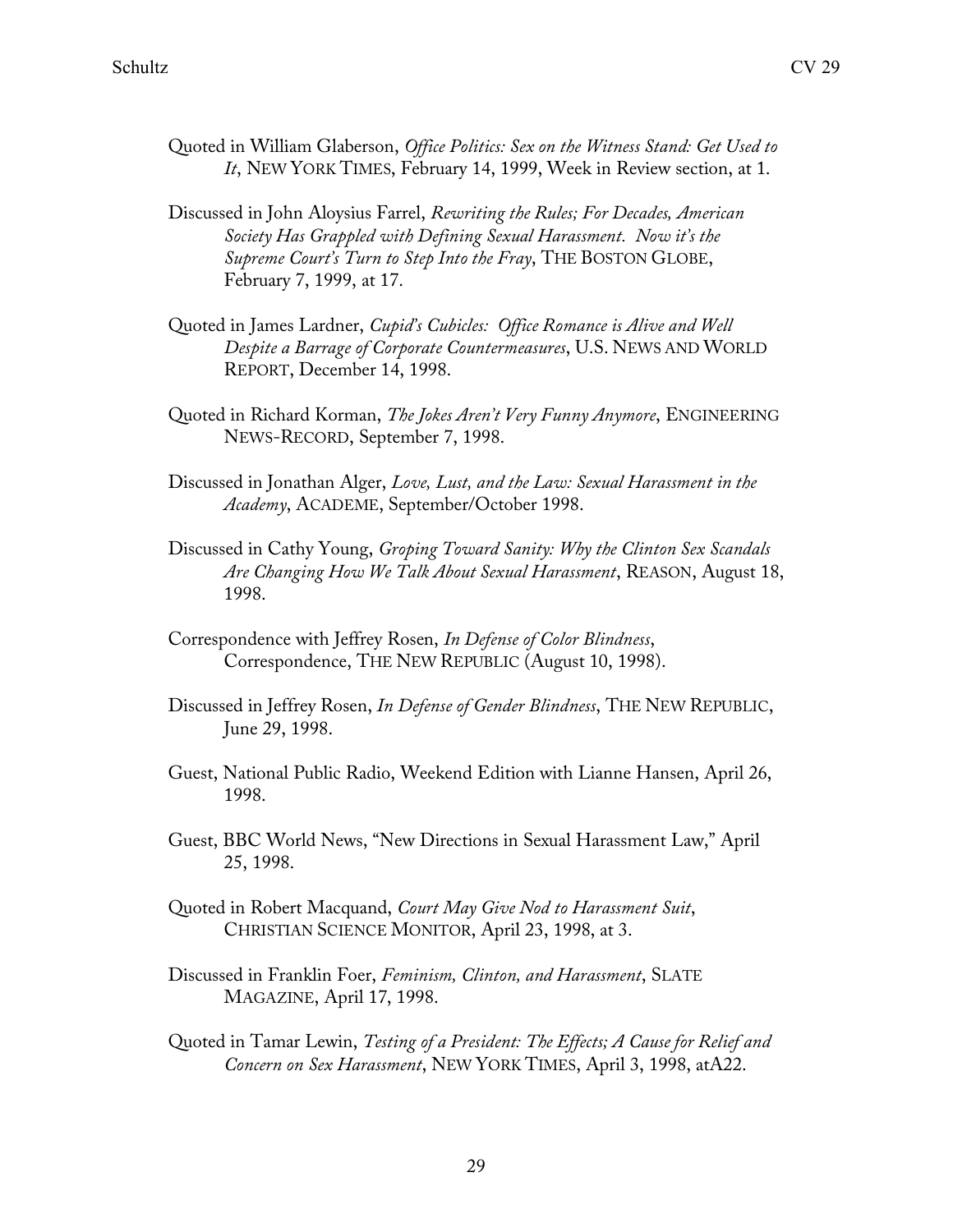- Quoted in William Glaberson, *Office Politics: Sex on the Witness Stand: Get Used to It*, NEW YORK TIMES, February 14, 1999, Week in Review section, at 1.
- Discussed in John Aloysius Farrel, *Rewriting the Rules; For Decades, American Society Has Grappled with Defining Sexual Harassment. Now it's the Supreme Court's Turn to Step Into the Fray*, THE BOSTON GLOBE, February 7, 1999, at 17.
- Quoted in James Lardner, *Cupid's Cubicles: Office Romance is Alive and Well Despite a Barrage of Corporate Countermeasures*, U.S. NEWS AND WORLD REPORT, December 14, 1998.
- Quoted in Richard Korman, *The Jokes Aren't Very Funny Anymore*, ENGINEERING NEWS-RECORD, September 7, 1998.
- Discussed in Jonathan Alger, *Love, Lust, and the Law: Sexual Harassment in the Academy*, ACADEME, September/October 1998.
- Discussed in Cathy Young, *Groping Toward Sanity: Why the Clinton Sex Scandals Are Changing How We Talk About Sexual Harassment*, REASON, August 18, 1998.
- Correspondence with Jeffrey Rosen, *In Defense of Color Blindness*, Correspondence, THE NEW REPUBLIC (August 10, 1998).
- Discussed in Jeffrey Rosen, *In Defense of Gender Blindness*, THE NEW REPUBLIC, June 29, 1998.
- Guest, National Public Radio, Weekend Edition with Lianne Hansen, April 26, 1998.
- Guest, BBC World News, "New Directions in Sexual Harassment Law," April 25, 1998.
- Quoted in Robert Macquand, *Court May Give Nod to Harassment Suit*, CHRISTIAN SCIENCE MONITOR, April 23, 1998, at 3.
- Discussed in Franklin Foer, *Feminism, Clinton, and Harassment*, SLATE MAGAZINE, April 17, 1998.
- Quoted in Tamar Lewin, *Testing of a President: The Effects; A Cause for Relief and Concern on Sex Harassment*, NEW YORK TIMES, April 3, 1998, atA22.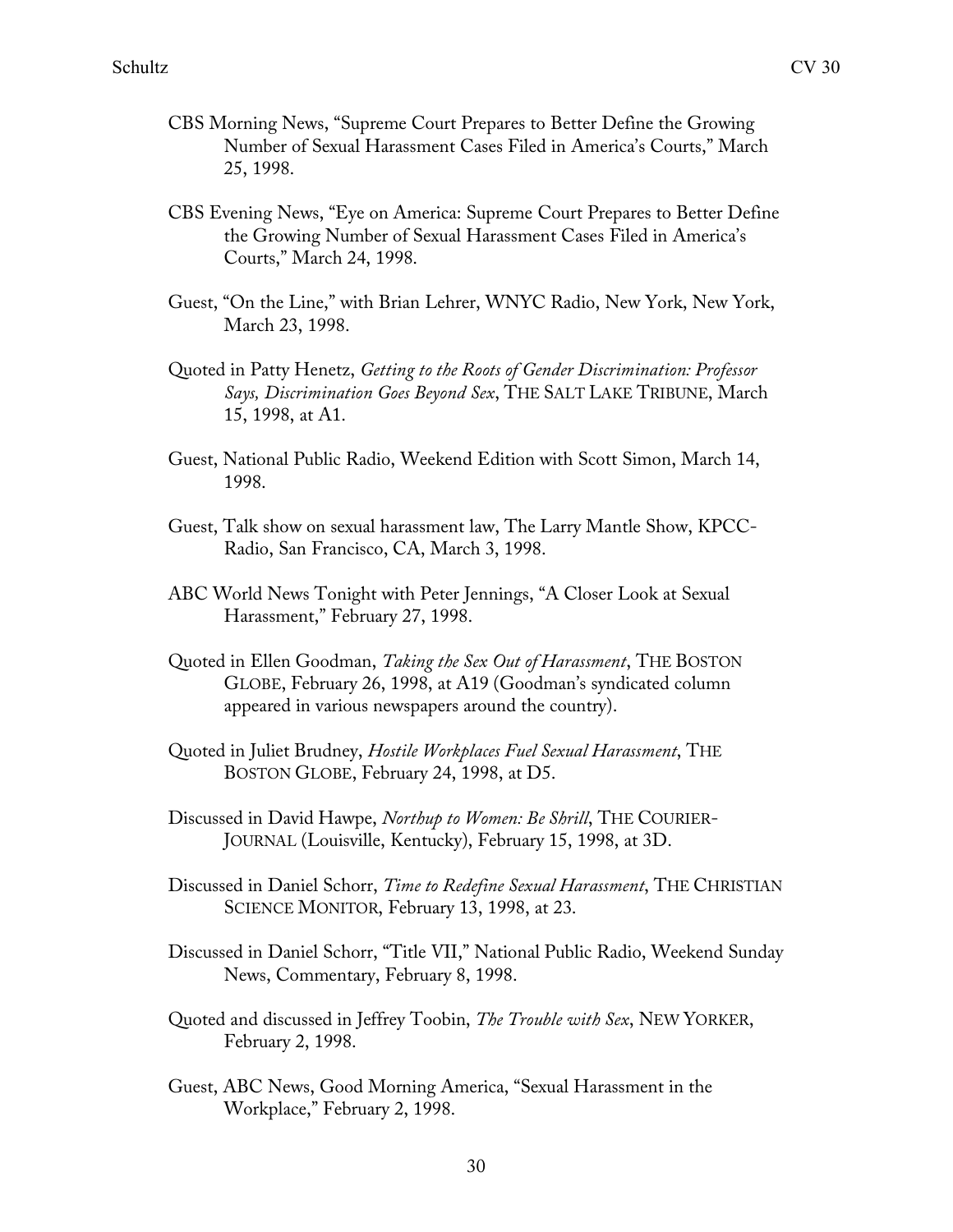- CBS Morning News, "Supreme Court Prepares to Better Define the Growing Number of Sexual Harassment Cases Filed in America's Courts," March 25, 1998.
- CBS Evening News, "Eye on America: Supreme Court Prepares to Better Define the Growing Number of Sexual Harassment Cases Filed in America's Courts," March 24, 1998.
- Guest, "On the Line," with Brian Lehrer, WNYC Radio, New York, New York, March 23, 1998.
- Quoted in Patty Henetz, *Getting to the Roots of Gender Discrimination: Professor Says, Discrimination Goes Beyond Sex*, THE SALT LAKE TRIBUNE, March 15, 1998, at A1.
- Guest, National Public Radio, Weekend Edition with Scott Simon, March 14, 1998.
- Guest, Talk show on sexual harassment law, The Larry Mantle Show, KPCC-Radio, San Francisco, CA, March 3, 1998.
- ABC World News Tonight with Peter Jennings, "A Closer Look at Sexual Harassment," February 27, 1998.
- Quoted in Ellen Goodman, *Taking the Sex Out of Harassment*, THE BOSTON GLOBE, February 26, 1998, at A19 (Goodman's syndicated column appeared in various newspapers around the country).
- Quoted in Juliet Brudney, *Hostile Workplaces Fuel Sexual Harassment*, THE BOSTON GLOBE, February 24, 1998, at D5.
- Discussed in David Hawpe, *Northup to Women: Be Shrill*, THE COURIER-JOURNAL (Louisville, Kentucky), February 15, 1998, at 3D.
- Discussed in Daniel Schorr, *Time to Redefine Sexual Harassment*, THE CHRISTIAN SCIENCE MONITOR, February 13, 1998, at 23.
- Discussed in Daniel Schorr, "Title VII," National Public Radio, Weekend Sunday News, Commentary, February 8, 1998.
- Quoted and discussed in Jeffrey Toobin, *The Trouble with Sex*, NEW YORKER, February 2, 1998.
- Guest, ABC News, Good Morning America, "Sexual Harassment in the Workplace," February 2, 1998.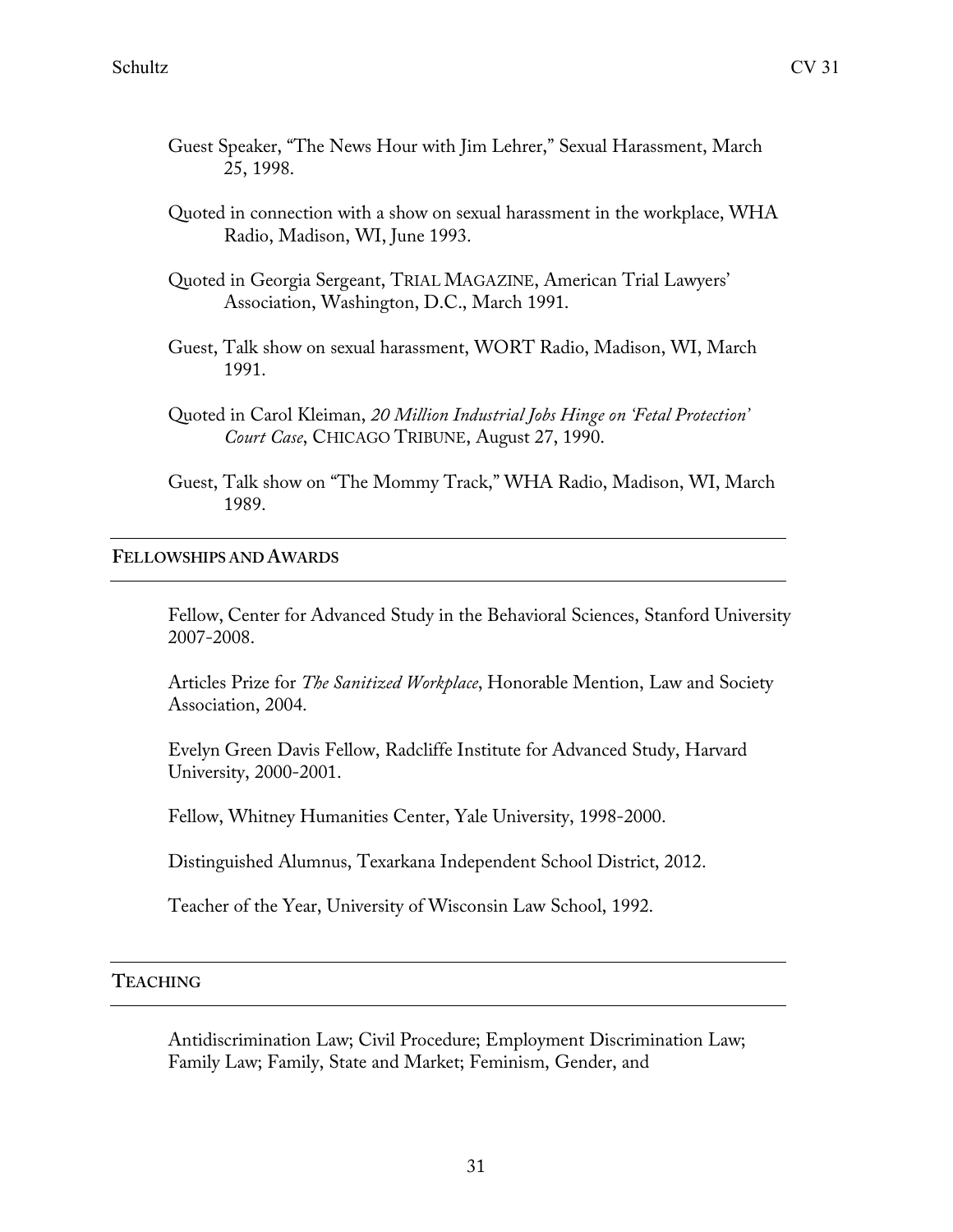- Guest Speaker, "The News Hour with Jim Lehrer," Sexual Harassment, March 25, 1998.
- Quoted in connection with a show on sexual harassment in the workplace, WHA Radio, Madison, WI, June 1993.
- Quoted in Georgia Sergeant, TRIAL MAGAZINE, American Trial Lawyers' Association, Washington, D.C., March 1991.
- Guest, Talk show on sexual harassment, WORT Radio, Madison, WI, March 1991.
- Quoted in Carol Kleiman, *20 Million Industrial Jobs Hinge on 'Fetal Protection' Court Case*, CHICAGO TRIBUNE, August 27, 1990.
- Guest, Talk show on "The Mommy Track," WHA Radio, Madison, WI, March 1989.

#### **FELLOWSHIPS AND AWARDS**

Fellow, Center for Advanced Study in the Behavioral Sciences, Stanford University 2007-2008.

Articles Prize for *The Sanitized Workplace*, Honorable Mention, Law and Society Association, 2004.

Evelyn Green Davis Fellow, Radcliffe Institute for Advanced Study, Harvard University, 2000-2001.

Fellow, Whitney Humanities Center, Yale University, 1998-2000.

Distinguished Alumnus, Texarkana Independent School District, 2012.

Teacher of the Year, University of Wisconsin Law School, 1992.

#### **TEACHING**

Antidiscrimination Law; Civil Procedure; Employment Discrimination Law; Family Law; Family, State and Market; Feminism, Gender, and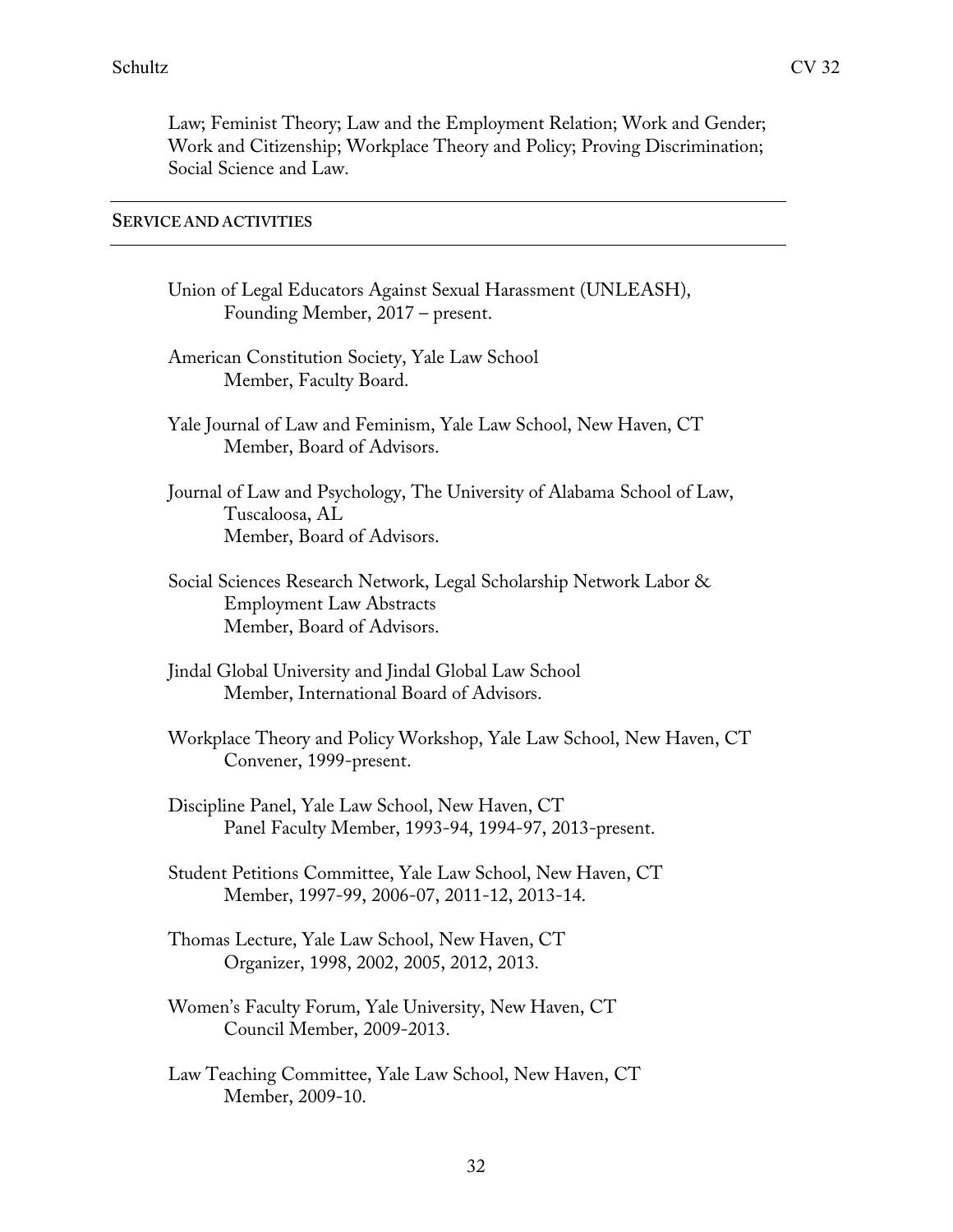Law; Feminist Theory; Law and the Employment Relation; Work and Gender; Work and Citizenship; Workplace Theory and Policy; Proving Discrimination; Social Science and Law.

# **SERVICE AND ACTIVITIES**

| Union of Legal Educators Against Sexual Harassment (UNLEASH),<br>Founding Member, 2017 – present.                                    |
|--------------------------------------------------------------------------------------------------------------------------------------|
| American Constitution Society, Yale Law School<br>Member, Faculty Board.                                                             |
| Yale Journal of Law and Feminism, Yale Law School, New Haven, CT<br>Member, Board of Advisors.                                       |
| Journal of Law and Psychology, The University of Alabama School of Law,<br>Tuscaloosa, AL<br>Member, Board of Advisors.              |
| Social Sciences Research Network, Legal Scholarship Network Labor &<br><b>Employment Law Abstracts</b><br>Member, Board of Advisors. |
| Jindal Global University and Jindal Global Law School<br>Member, International Board of Advisors.                                    |
| Workplace Theory and Policy Workshop, Yale Law School, New Haven, CT<br>Convener, 1999-present.                                      |
| Discipline Panel, Yale Law School, New Haven, CT<br>Panel Faculty Member, 1993-94, 1994-97, 2013-present.                            |
| Student Petitions Committee, Yale Law School, New Haven, CT<br>Member, 1997-99, 2006-07, 2011-12, 2013-14.                           |
| Thomas Lecture, Yale Law School, New Haven, CT<br>Organizer, 1998, 2002, 2005, 2012, 2013.                                           |
| Women's Faculty Forum, Yale University, New Haven, CT<br>Council Member, 2009-2013.                                                  |
| Law Teaching Committee, Yale Law School, New Haven, CT<br>Member, 2009-10.                                                           |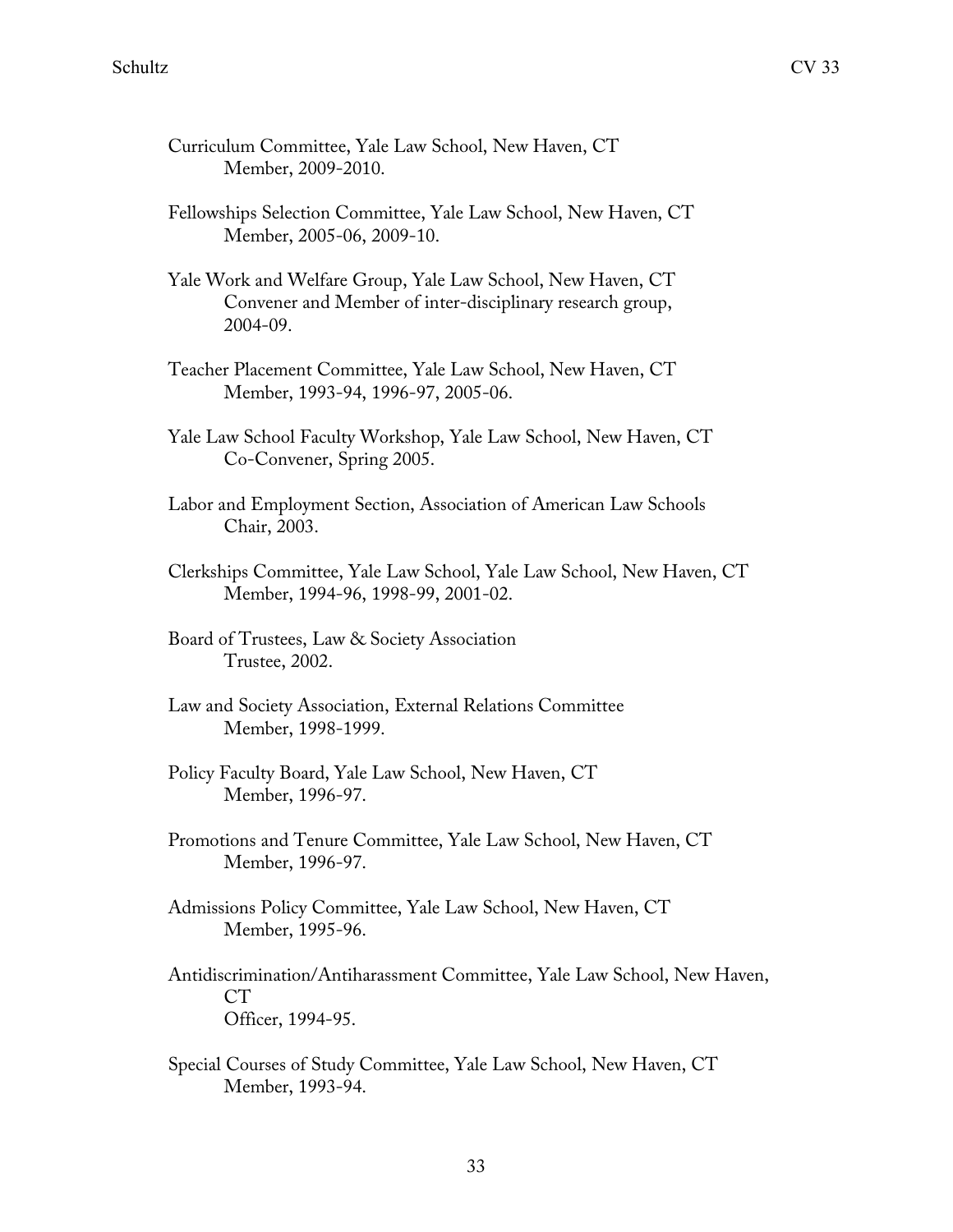- Curriculum Committee, Yale Law School, New Haven, CT Member, 2009-2010.
- Fellowships Selection Committee, Yale Law School, New Haven, CT Member, 2005-06, 2009-10.
- Yale Work and Welfare Group, Yale Law School, New Haven, CT Convener and Member of inter-disciplinary research group, 2004-09.
- Teacher Placement Committee, Yale Law School, New Haven, CT Member, 1993-94, 1996-97, 2005-06.
- Yale Law School Faculty Workshop, Yale Law School, New Haven, CT Co-Convener, Spring 2005.
- Labor and Employment Section, Association of American Law Schools Chair, 2003.
- Clerkships Committee, Yale Law School, Yale Law School, New Haven, CT Member, 1994-96, 1998-99, 2001-02.
- Board of Trustees, Law & Society Association Trustee, 2002.
- Law and Society Association, External Relations Committee Member, 1998-1999.
- Policy Faculty Board, Yale Law School, New Haven, CT Member, 1996-97.
- Promotions and Tenure Committee, Yale Law School, New Haven, CT Member, 1996-97.
- Admissions Policy Committee, Yale Law School, New Haven, CT Member, 1995-96.
- Antidiscrimination/Antiharassment Committee, Yale Law School, New Haven,  $CT$ Officer, 1994-95.
- Special Courses of Study Committee, Yale Law School, New Haven, CT Member, 1993-94.